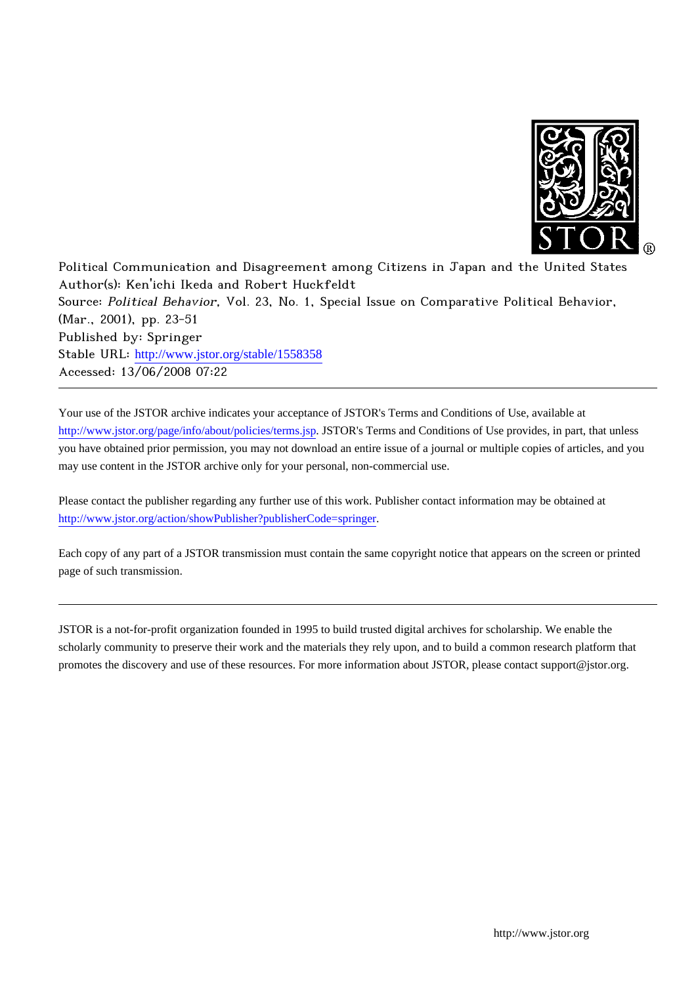

Political Communication and Disagreement among Citizens in Japan and the United States Author(s): Ken'ichi Ikeda and Robert Huckfeldt Source: Political Behavior, Vol. 23, No. 1, Special Issue on Comparative Political Behavior, (Mar., 2001), pp. 23-51 Published by: Springer Stable URL: [http://www.jstor.org/stable/1558358](http://www.jstor.org/stable/1558358?origin=JSTOR-pdf) Accessed: 13/06/2008 07:22

Your use of the JSTOR archive indicates your acceptance of JSTOR's Terms and Conditions of Use, available at <http://www.jstor.org/page/info/about/policies/terms.jsp>. JSTOR's Terms and Conditions of Use provides, in part, that unless you have obtained prior permission, you may not download an entire issue of a journal or multiple copies of articles, and you may use content in the JSTOR archive only for your personal, non-commercial use.

Please contact the publisher regarding any further use of this work. Publisher contact information may be obtained at [http://www.jstor.org/action/showPublisher?publisherCode=springer.](http://www.jstor.org/action/showPublisher?publisherCode=springer)

Each copy of any part of a JSTOR transmission must contain the same copyright notice that appears on the screen or printed page of such transmission.

JSTOR is a not-for-profit organization founded in 1995 to build trusted digital archives for scholarship. We enable the scholarly community to preserve their work and the materials they rely upon, and to build a common research platform that promotes the discovery and use of these resources. For more information about JSTOR, please contact support@jstor.org.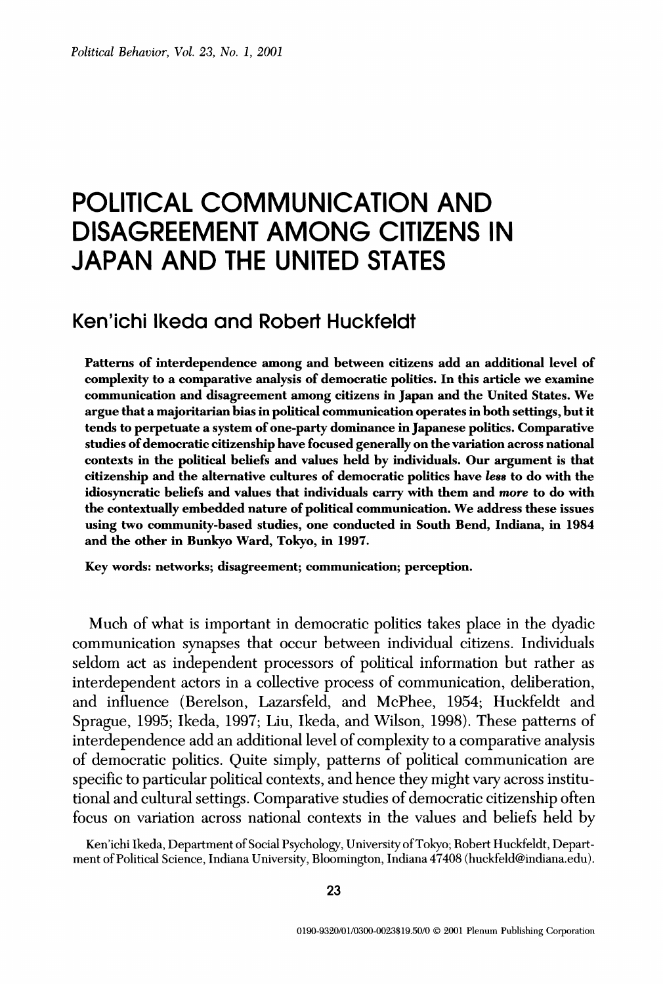# **POLITICAL COMMUNICATION AND DISAGREEMENT AMONG CITIZENS IN JAPAN AND THE UNITED STATES**

## **Ken'ichi Ikeda and Robert Huckfeldt**

**Patterns of interdependence among and between citizens add an additional level of complexity to a comparative analysis of democratic politics. In this article we examine communication and disagreement among citizens in Japan and the United States. We argue that a majoritarian bias in political communication operates in both settings, but it tends to perpetuate a system of one-party dominance in Japanese politics. Comparative studies of democratic citizenship have focused generally on the variation across national contexts in the political beliefs and values held by individuals. Our argument is that citizenship and the alternative cultures of democratic politics have less to do with the idiosyncratic beliefs and values that individuals carry with them and more to do with the contextually embedded nature of political communication. We address these issues using two community-based studies, one conducted in South Bend, Indiana, in 1984 and the other in Bunkyo Ward, Tokyo, in 1997.** 

**Key words: networks; disagreement; communication; perception.** 

**Much of what is important in democratic politics takes place in the dyadic communication synapses that occur between individual citizens. Individuals seldom act as independent processors of political information but rather as interdependent actors in a collective process of communication, deliberation, and influence (Berelson, Lazarsfeld, and McPhee, 1954; Huckfeldt and Sprague, 1995; Ikeda, 1997; Liu, Ikeda, and Wilson, 1998). These patterns of interdependence add an additional level of complexity to a comparative analysis of democratic politics. Quite simply, patterns of political communication are specific to particular political contexts, and hence they might vary across institutional and cultural settings. Comparative studies of democratic citizenship often focus on variation across national contexts in the values and beliefs held by** 

**Ken'ichi Ikeda, Department of Social Psychology, University of Tokyo; Robert Huckfeldt, Department of Political Science, Indiana University, Bloomington, Indiana 47408 (huckfeld@indiana.edu).**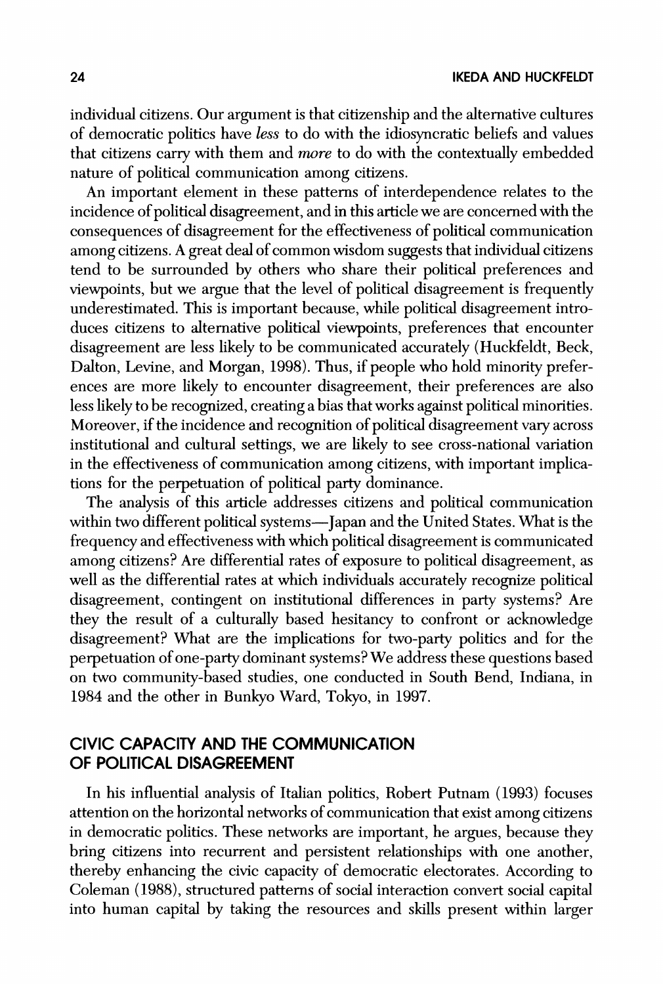**individual citizens. Our argument is that citizenship and the alternative cultures of democratic politics have less to do with the idiosyncratic beliefs and values that citizens carry with them and more to do with the contextually embedded nature of political communication among citizens.** 

**An important element in these patterns of interdependence relates to the incidence of political disagreement, and in this article we are concerned with the consequences of disagreement for the effectiveness of political communication among citizens. A great deal of common wisdom suggests that individual citizens tend to be surrounded by others who share their political preferences and viewpoints, but we argue that the level of political disagreement is frequently underestimated. This is important because, while political disagreement introduces citizens to alternative political viewpoints, preferences that encounter disagreement are less likely to be communicated accurately (Huckfeldt, Beck, Dalton, Levine, and Morgan, 1998). Thus, if people who hold minority preferences are more likely to encounter disagreement, their preferences are also less likely to be recognized, creating a bias that works against political minorities. Moreover, if the incidence and recognition of political disagreement vary across institutional and cultural settings, we are likely to see cross-national variation in the effectiveness of communication among citizens, with important implications for the perpetuation of political party dominance.** 

**The analysis of this article addresses citizens and political communication**  within two different political systems-Japan and the United States. What is the **frequency and effectiveness with which political disagreement is communicated among citizens? Are differential rates of exposure to political disagreement, as well as the differential rates at which individuals accurately recognize political disagreement, contingent on institutional differences in party systems? Are they the result of a culturally based hesitancy to confront or acknowledge disagreement? What are the implications for two-party politics and for the perpetuation of one-party dominant systems? We address these questions based on two community-based studies, one conducted in South Bend, Indiana, in 1984 and the other in Bunkyo Ward, Tokyo, in 1997.** 

## **CIVIC CAPACITY AND THE COMMUNICATION OF POLITICAL DISAGREEMENT**

**In his influential analysis of Italian politics, Robert Putnam (1993) focuses attention on the horizontal networks of communication that exist among citizens in democratic politics. These networks are important, he argues, because they bring citizens into recurrent and persistent relationships with one another, thereby enhancing the civic capacity of democratic electorates. According to Coleman (1988), structured patterns of social interaction convert social capital into human capital by taking the resources and skills present within larger**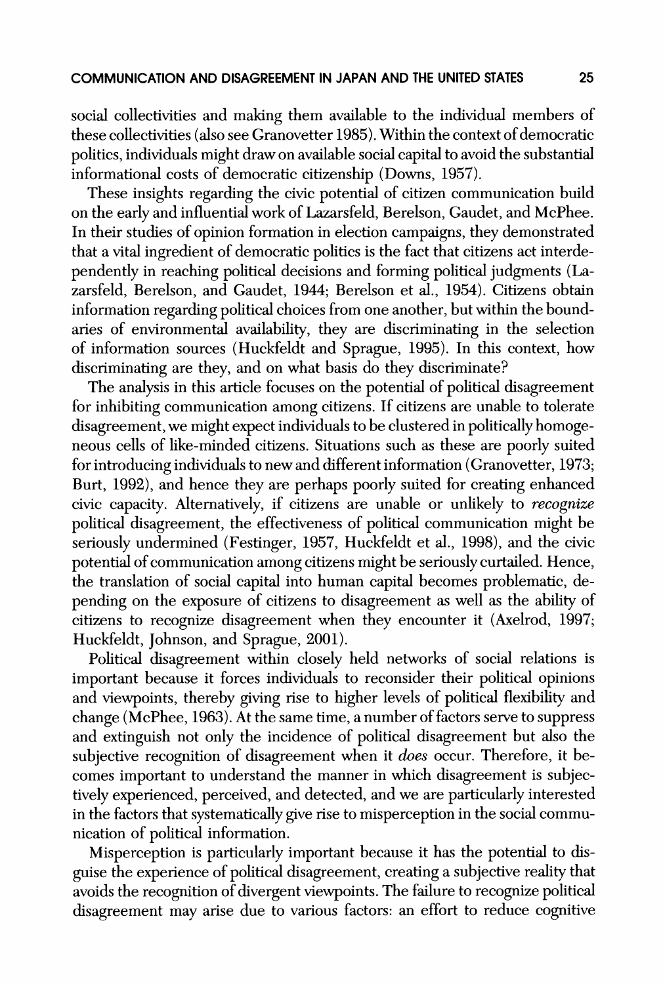**social collectivities and making them available to the individual members of these collectivities (also see Granovetter 1985). Within the context of democratic politics, individuals might draw on available social capital to avoid the substantial informational costs of democratic citizenship (Downs, 1957).** 

**These insights regarding the civic potential of citizen communication build on the early and influential work of Lazarsfeld, Berelson, Gaudet, and McPhee. In their studies of opinion formation in election campaigns, they demonstrated that a vital ingredient of democratic politics is the fact that citizens act interdependently in reaching political decisions and forming political judgments (Lazarsfeld, Berelson, and Gaudet, 1944; Berelson et al., 1954). Citizens obtain information regarding political choices from one another, but within the boundaries of environmental availability, they are discriminating in the selection of information sources (Huckfeldt and Sprague, 1995). In this context, how discriminating are they, and on what basis do they discriminate?** 

**The analysis in this article focuses on the potential of political disagreement for inhibiting communication among citizens. If citizens are unable to tolerate disagreement, we might expect individuals to be clustered in politically homogeneous cells of like-minded citizens. Situations such as these are poorly suited for introducing individuals to new and different information (Granovetter, 1973; Burt, 1992), and hence they are perhaps poorly suited for creating enhanced civic capacity. Alternatively, if citizens are unable or unlikely to recognize political disagreement, the effectiveness of political communication might be seriously undermined (Festinger, 1957, Huckfeldt et al., 1998), and the civic potential of communication among citizens might be seriously curtailed. Hence, the translation of social capital into human capital becomes problematic, depending on the exposure of citizens to disagreement as well as the ability of citizens to recognize disagreement when they encounter it (Axelrod, 1997; Huckfeldt, Johnson, and Sprague, 2001).** 

**Political disagreement within closely held networks of social relations is important because it forces individuals to reconsider their political opinions and viewpoints, thereby giving rise to higher levels of political flexibility and change (McPhee, 1963). At the same time, a number of factors serve to suppress and extinguish not only the incidence of political disagreement but also the subjective recognition of disagreement when it does occur. Therefore, it becomes important to understand the manner in which disagreement is subjectively experienced, perceived, and detected, and we are particularly interested in the factors that systematically give rise to misperception in the social communication of political information.** 

**Misperception is particularly important because it has the potential to disguise the experience of political disagreement, creating a subjective reality that avoids the recognition of divergent viewpoints. The failure to recognize political disagreement may arise due to various factors: an effort to reduce cognitive**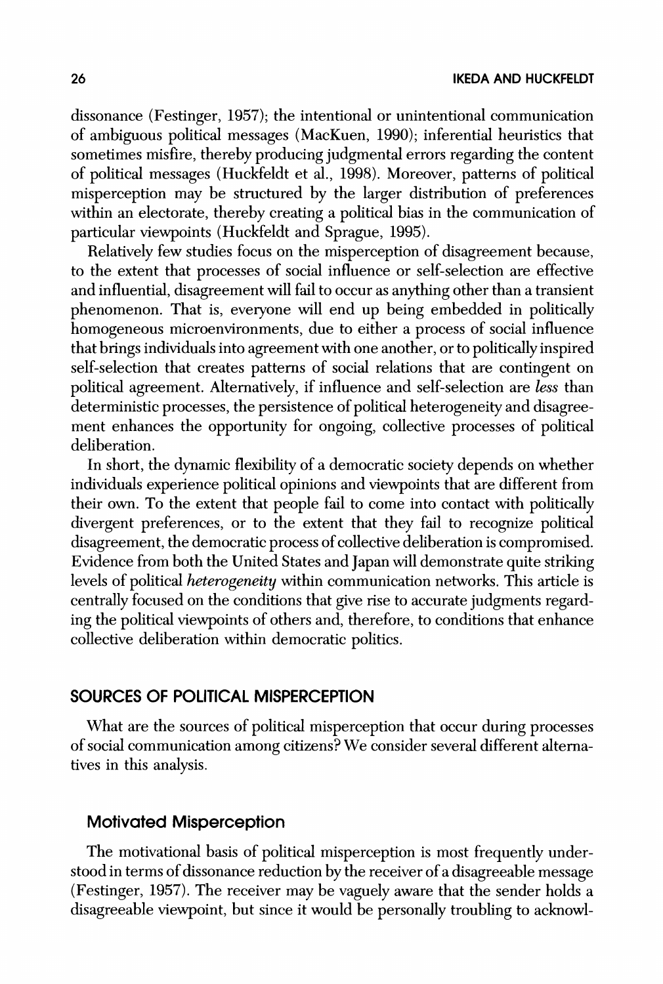**dissonance (Festinger, 1957); the intentional or unintentional communication of ambiguous political messages (MacKuen, 1990); inferential heuristics that sometimes misfire, thereby producing judgmental errors regarding the content of political messages (Huckfeldt et al., 1998). Moreover, patterns of political misperception may be structured by the larger distribution of preferences within an electorate, thereby creating a political bias in the communication of particular viewpoints (Huckfeldt and Sprague, 1995).** 

**Relatively few studies focus on the misperception of disagreement because, to the extent that processes of social influence or self-selection are effective and influential, disagreement will fail to occur as anything other than a transient phenomenon. That is, everyone will end up being embedded in politically homogeneous microenvironments, due to either a process of social influence that brings individuals into agreement with one another, or to politically inspired self-selection that creates patterns of social relations that are contingent on political agreement. Alternatively, if influence and self-selection are less than deterministic processes, the persistence of political heterogeneity and disagreement enhances the opportunity for ongoing, collective processes of political deliberation.** 

**In short, the dynamic flexibility of a democratic society depends on whether individuals experience political opinions and viewpoints that are different from their own. To the extent that people fail to come into contact with politically divergent preferences, or to the extent that they fail to recognize political disagreement, the democratic process of collective deliberation is compromised. Evidence from both the United States and Japan will demonstrate quite striking levels of political heterogeneity within communication networks. This article is centrally focused on the conditions that give rise to accurate judgments regarding the political viewpoints of others and, therefore, to conditions that enhance collective deliberation within democratic politics.** 

## **SOURCES OF POLITICAL MISPERCEPTION**

**What are the sources of political misperception that occur during processes of social communication among citizens? We consider several different alternatives in this analysis.** 

#### **Motivated Misperception**

**The motivational basis of political misperception is most frequently understood in terms of dissonance reduction by the receiver of a disagreeable message (Festinger, 1957). The receiver may be vaguely aware that the sender holds a disagreeable viewpoint, but since it would be personally troubling to acknowl-**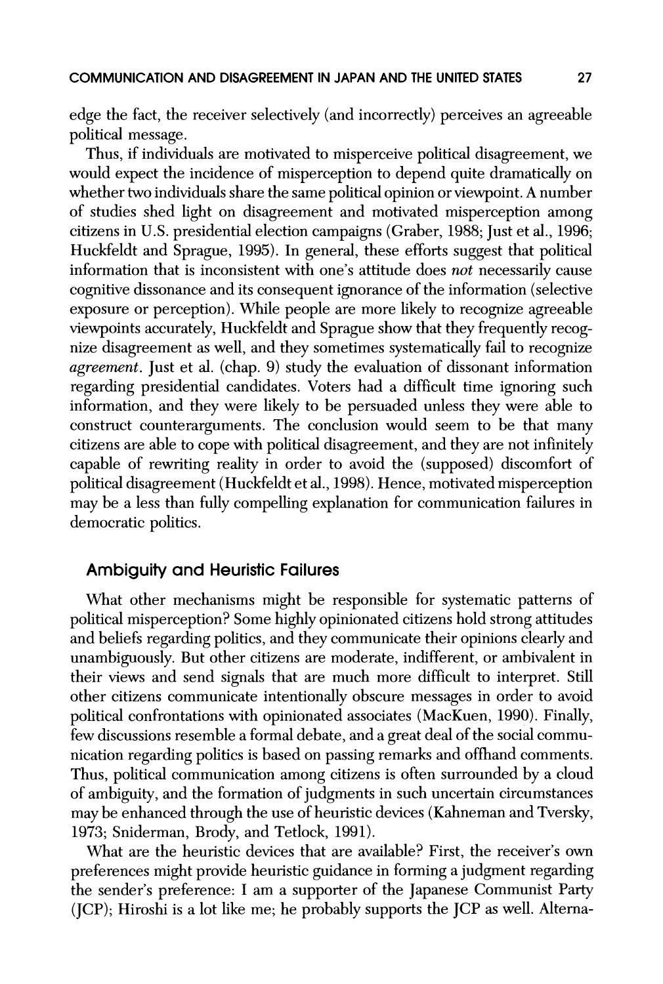**edge the fact, the receiver selectively (and incorrectly) perceives an agreeable political message.** 

**Thus, if individuals are motivated to misperceive political disagreement, we would expect the incidence of misperception to depend quite dramatically on whether two individuals share the same political opinion or viewpoint. A number of studies shed light on disagreement and motivated misperception among citizens in U.S. presidential election campaigns (Graber, 1988; Just et al., 1996; Huckfeldt and Sprague, 1995). In general, these efforts suggest that political information that is inconsistent with one's attitude does not necessarily cause cognitive dissonance and its consequent ignorance of the information (selective exposure or perception). While people are more likely to recognize agreeable viewpoints accurately, Huckfeldt and Sprague show that they frequently recognize disagreement as well, and they sometimes systematically fail to recognize agreement. Just et al. (chap. 9) study the evaluation of dissonant information regarding presidential candidates. Voters had a difficult time ignoring such information, and they were likely to be persuaded unless they were able to construct counterarguments. The conclusion would seem to be that many citizens are able to cope with political disagreement, and they are not infinitely capable of rewriting reality in order to avoid the (supposed) discomfort of political disagreement (Huckfeldt et al., 1998). Hence, motivated misperception may be a less than fully compelling explanation for communication failures in democratic politics.** 

#### **Ambiguity and Heuristic Failures**

**What other mechanisms might be responsible for systematic patterns of political misperception? Some highly opinionated citizens hold strong attitudes and beliefs regarding politics, and they communicate their opinions clearly and unambiguously. But other citizens are moderate, indifferent, or ambivalent in their views and send signals that are much more difficult to interpret. Still other citizens communicate intentionally obscure messages in order to avoid political confrontations with opinionated associates (MacKuen, 1990). Finally, few discussions resemble a formal debate, and a great deal of the social communication regarding politics is based on passing remarks and offhand comments. Thus, political communication among citizens is often surrounded by a cloud of ambiguity, and the formation of judgments in such uncertain circumstances may be enhanced through the use of heuristic devices (Kahneman and Tversky, 1973; Sniderman, Brody, and Tetlock, 1991).** 

**What are the heuristic devices that are available? First, the receiver's own preferences might provide heuristic guidance in forming a judgment regarding the sender's preference: I am a supporter of the Japanese Communist Party (JCP); Hiroshi is a lot like me; he probably supports the JCP as well. Altera-**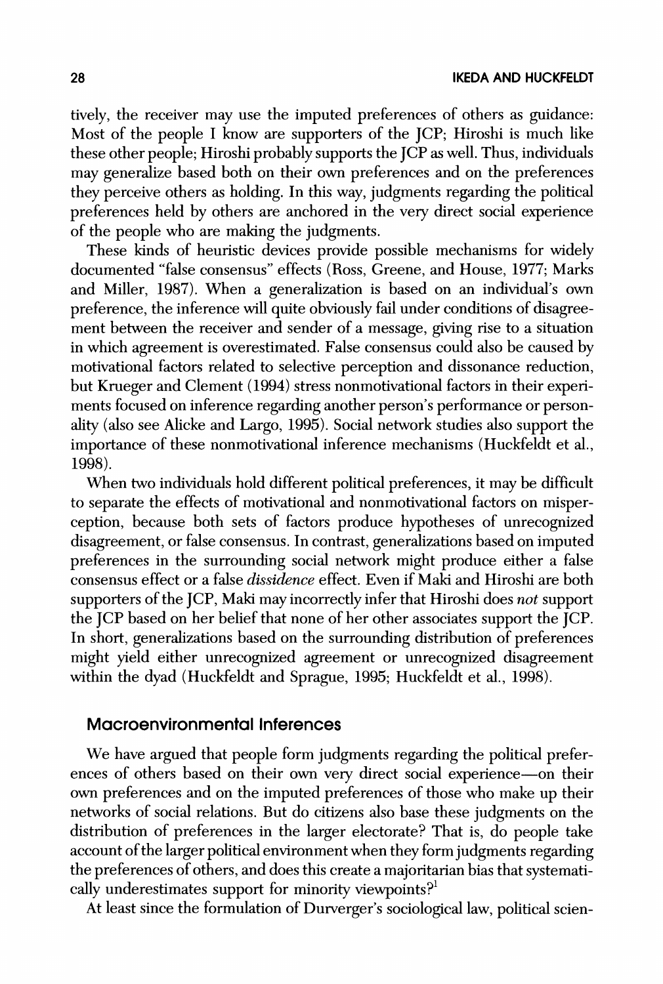**tively, the receiver may use the imputed preferences of others as guidance: Most of the people I know are supporters of the JCP; Hiroshi is much like these other people; Hiroshi probably supports the JCP as well. Thus, individuals may generalize based both on their own preferences and on the preferences they perceive others as holding. In this way, judgments regarding the political preferences held by others are anchored in the very direct social experience of the people who are making the judgments.** 

**These kinds of heuristic devices provide possible mechanisms for widely documented "false consensus" effects (Ross, Greene, and House, 1977; Marks and Miller, 1987). When a generalization is based on an individual's own preference, the inference will quite obviously fail under conditions of disagreement between the receiver and sender of a message, giving rise to a situation in which agreement is overestimated. False consensus could also be caused by motivational factors related to selective perception and dissonance reduction, but Krueger and Clement (1994) stress nonmotivational factors in their experiments focused on inference regarding another person's performance or personality (also see Alicke and Largo, 1995). Social network studies also support the importance of these nonmotivational inference mechanisms (Huckfeldt et al., 1998).** 

**When two individuals hold different political preferences, it may be difficult to separate the effects of motivational and nonmotivational factors on misperception, because both sets of factors produce hypotheses of unrecognized disagreement, or false consensus. In contrast, generalizations based on imputed preferences in the surrounding social network might produce either a false consensus effect or a false dissidence effect. Even if Maki and Hiroshi are both supporters of the JCP, Maki may incorrectly infer that Hiroshi does not support the JCP based on her belief that none of her other associates support the JCP. In short, generalizations based on the surrounding distribution of preferences might yield either unrecognized agreement or unrecognized disagreement within the dyad (Huckfeldt and Sprague, 1995; Huckfeldt et al., 1998).** 

#### **Macroenvironmental Inferences**

**We have argued that people form judgments regarding the political prefer**ences of others based on their own very direct social experience-on their **own preferences and on the imputed preferences of those who make up their networks of social relations. But do citizens also base these judgments on the distribution of preferences in the larger electorate? That is, do people take account of the larger political environment when they form judgments regarding the preferences of others, and does this create a majoritarian bias that systemati**cally underestimates support for minority viewpoints?<sup>1</sup>

**At least since the formulation of Durverger's sociological law, political scien-**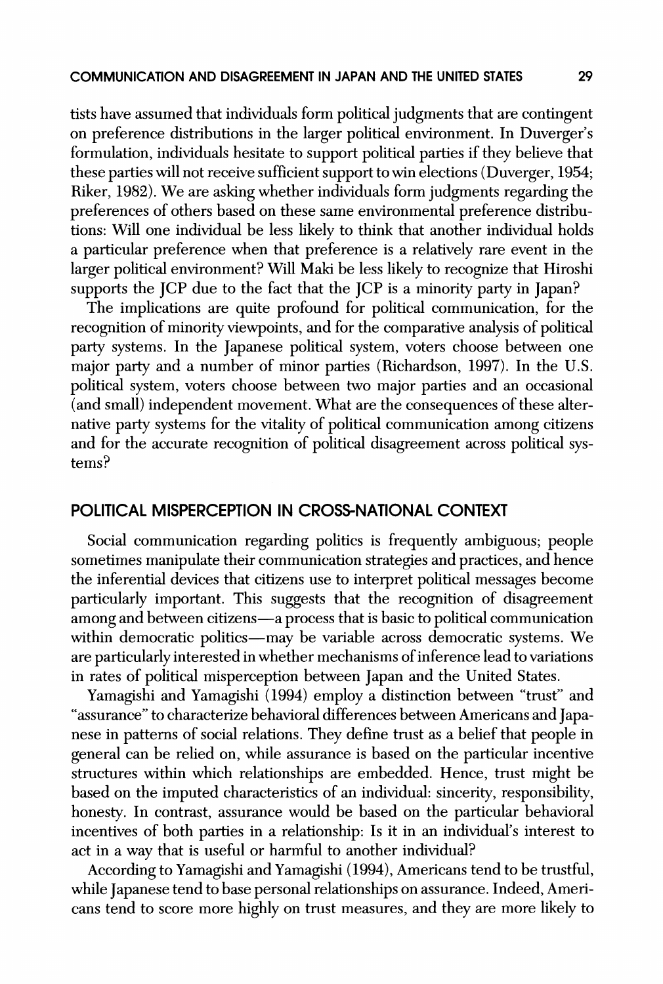**tists have assumed that individuals form political judgments that are contingent on preference distributions in the larger political environment. In Duverger's formulation, individuals hesitate to support political parties if they believe that these parties will not receive sufficient support to win elections (Duverger, 1954; Riker, 1982). We are asking whether individuals form judgments regarding the preferences of others based on these same environmental preference distributions: Will one individual be less likely to think that another individual holds a particular preference when that preference is a relatively rare event in the larger political environment? Will Maki be less likely to recognize that Hiroshi supports the JCP due to the fact that the JCP is a minority party in Japan?** 

**The implications are quite profound for political communication, for the recognition of minority viewpoints, and for the comparative analysis of political party systems. In the Japanese political system, voters choose between one major party and a number of minor parties (Richardson, 1997). In the U.S. political system, voters choose between two major parties and an occasional (and small) independent movement. What are the consequences of these alternative party systems for the vitality of political communication among citizens and for the accurate recognition of political disagreement across political systems?** 

## **POLITICAL MISPERCEPTION IN CROSS-NATIONAL CONTEXT**

**Social communication regarding politics is frequently ambiguous; people sometimes manipulate their communication strategies and practices, and hence the inferential devices that citizens use to interpret political messages become particularly important. This suggests that the recognition of disagreement**  among and between citizens-a process that is basic to political communication within democratic politics—may be variable across democratic systems. We **are particularly interested in whether mechanisms of inference lead to variations in rates of political misperception between Japan and the United States.** 

**Yamagishi and Yamagishi (1994) employ a distinction between "trust" and "assurance" to characterize behavioral differences between Americans and Japanese in patterns of social relations. They define trust as a belief that people in general can be relied on, while assurance is based on the particular incentive structures within which relationships are embedded. Hence, trust might be based on the imputed characteristics of an individual: sincerity, responsibility, honesty. In contrast, assurance would be based on the particular behavioral incentives of both parties in a relationship: Is it in an individual's interest to act in a way that is useful or harmful to another individual?** 

**According to Yamagishi and Yamagishi (1994), Americans tend to be trustful, while Japanese tend to base personal relationships on assurance. Indeed, Americans tend to score more highly on trust measures, and they are more likely to**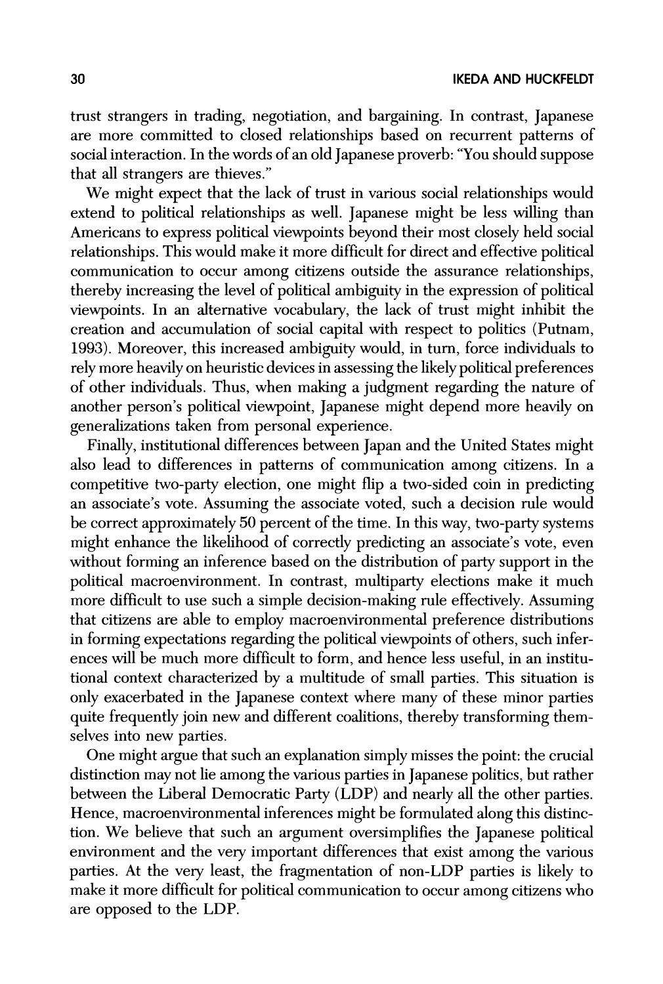**trust strangers in trading, negotiation, and bargaining. In contrast, Japanese are more committed to closed relationships based on recurrent patterns of social interaction. In the words of an old Japanese proverb: "You should suppose that all strangers are thieves."** 

**We might expect that the lack of trust in various social relationships would extend to political relationships as well. Japanese might be less willing than Americans to express political viewpoints beyond their most closely held social relationships. This would make it more difficult for direct and effective political communication to occur among citizens outside the assurance relationships, thereby increasing the level of political ambiguity in the expression of political viewpoints. In an alternative vocabulary, the lack of trust might inhibit the creation and accumulation of social capital with respect to politics (Putnam, 1993). Moreover, this increased ambiguity would, in turn, force individuals to rely more heavily on heuristic devices in assessing the likely political preferences of other individuals. Thus, when making a judgment regarding the nature of another person's political viewpoint, Japanese might depend more heavily on generalizations taken from personal experience.** 

**Finally, institutional differences between Japan and the United States might also lead to differences in patterns of communication among citizens. In a competitive two-party election, one might flip a two-sided coin in predicting an associate's vote. Assuming the associate voted, such a decision rule would be correct approximately 50 percent of the time. In this way, two-party systems might enhance the likelihood of correctly predicting an associate's vote, even without forming an inference based on the distribution of party support in the political macroenvironment. In contrast, multiparty elections make it much more difficult to use such a simple decision-making rule effectively. Assuming that citizens are able to employ macroenvironmental preference distributions in forming expectations regarding the political viewpoints of others, such inferences will be much more difficult to form, and hence less useful, in an institutional context characterized by a multitude of small parties. This situation is only exacerbated in the Japanese context where many of these minor parties quite frequently join new and different coalitions, thereby transforming themselves into new parties.** 

**One might argue that such an explanation simply misses the point: the crucial distinction may not lie among the various parties in Japanese politics, but rather between the Liberal Democratic Party (LDP) and nearly all the other parties. Hence, macroenvironmental inferences might be formulated along this distinction. We believe that such an argument oversimplifies the Japanese political environment and the very important differences that exist among the various parties. At the very least, the fragmentation of non-LDP parties is likely to make it more difficult for political communication to occur among citizens who are opposed to the LDP.**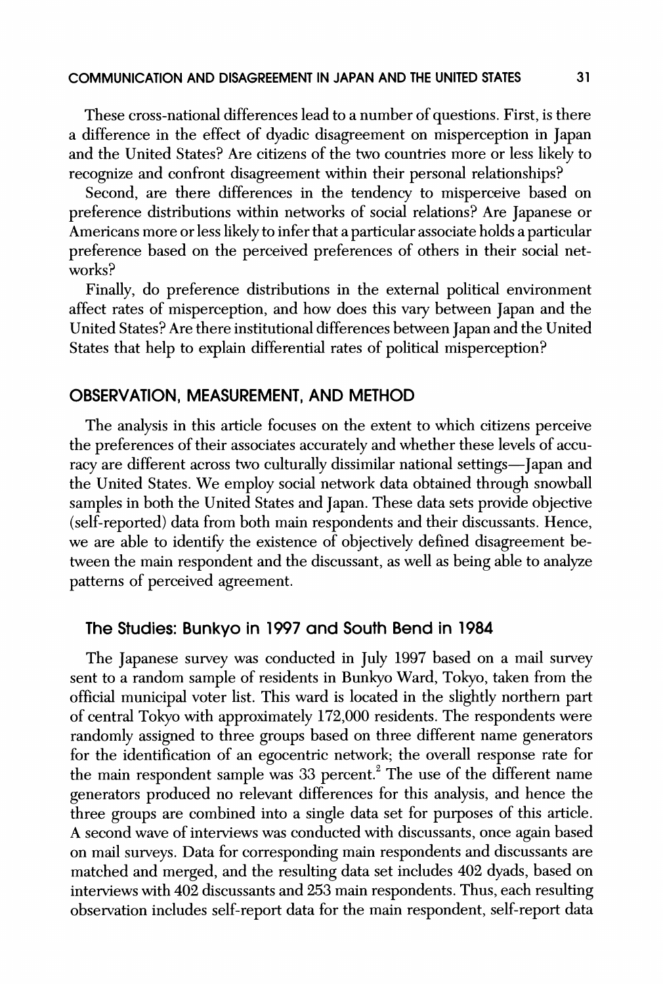#### **COMMUNICATION AND DISAGREEMENT IN JAPAN AND THE UNITED STATES**

**These cross-national differences lead to a number of questions. First, is there a difference in the effect of dyadic disagreement on misperception in Japan and the United States? Are citizens of the two countries more or less likely to recognize and confront disagreement within their personal relationships?** 

**Second, are there differences in the tendency to misperceive based on preference distributions within networks of social relations? Are Japanese or Americans more or less likely to infer that a particular associate holds a particular preference based on the perceived preferences of others in their social networks?** 

**Finally, do preference distributions in the external political environment affect rates of misperception, and how does this vary between Japan and the United States? Are there institutional differences between Japan and the United States that help to explain differential rates of political misperception?** 

#### **OBSERVATION, MEASUREMENT, AND METHOD**

**The analysis in this article focuses on the extent to which citizens perceive the preferences of their associates accurately and whether these levels of accuracy are different across two culturally dissimilar national settings-Japan and the United States. We employ social network data obtained through snowball samples in both the United States and Japan. These data sets provide objective (self-reported) data from both main respondents and their discussants. Hence, we are able to identify the existence of objectively defined disagreement between the main respondent and the discussant, as well as being able to analyze patterns of perceived agreement.** 

#### **The Studies: Bunkyo in 1997 and South Bend in 1984**

**The Japanese survey was conducted in July 1997 based on a mail survey sent to a random sample of residents in Bunkyo Ward, Tokyo, taken from the official municipal voter list. This ward is located in the slightly northern part of central Tokyo with approximately 172,000 residents. The respondents were randomly assigned to three groups based on three different name generators for the identification of an egocentric network; the overall response rate for**  the main respondent sample was 33 percent.<sup>2</sup> The use of the different name **generators produced no relevant differences for this analysis, and hence the three groups are combined into a single data set for purposes of this article. A second wave of interviews was conducted with discussants, once again based on mail surveys. Data for corresponding main respondents and discussants are matched and merged, and the resulting data set includes 402 dyads, based on interviews with 402 discussants and 253 main respondents. Thus, each resulting observation includes self-report data for the main respondent, self-report data**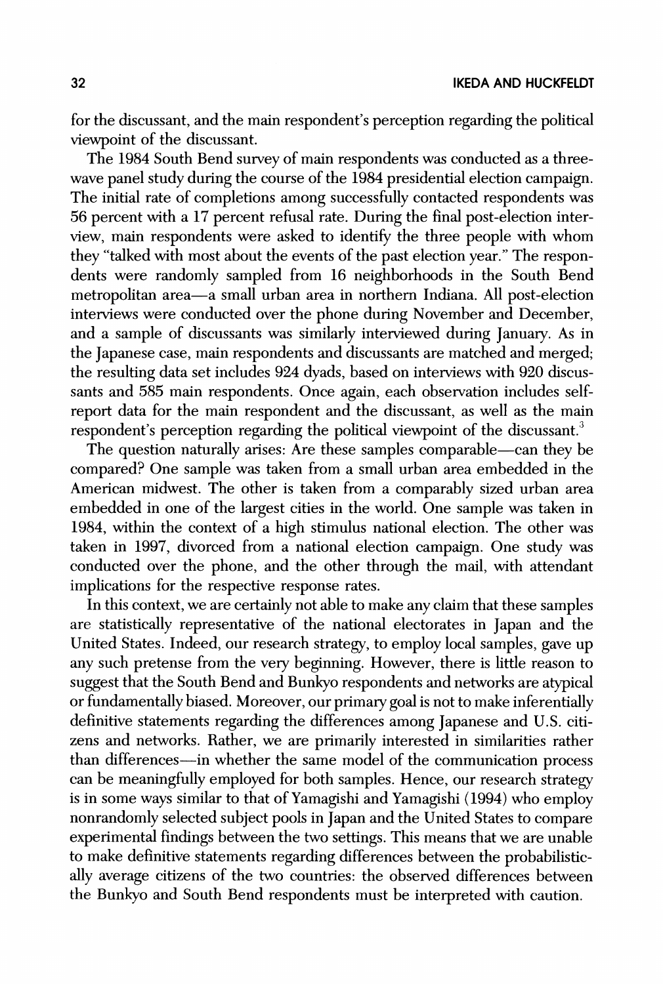**for the discussant, and the main respondent's perception regarding the political viewpoint of the discussant.** 

**The 1984 South Bend survey of main respondents was conducted as a threewave panel study during the course of the 1984 presidential election campaign. The initial rate of completions among successfully contacted respondents was 56 percent with a 17 percent refusal rate. During the final post-election interview, main respondents were asked to identify the three people with whom they "talked with most about the events of the past election year." The respondents were randomly sampled from 16 neighborhoods in the South Bend metropolitan area-a small urban area in northern Indiana. All post-election interviews were conducted over the phone during November and December, and a sample of discussants was similarly interviewed during January. As in the Japanese case, main respondents and discussants are matched and merged; the resulting data set includes 924 dyads, based on interviews with 920 discussants and 585 main respondents. Once again, each observation includes selfreport data for the main respondent and the discussant, as well as the main**  respondent's perception regarding the political viewpoint of the discussant.<sup>3</sup>

The question naturally arises: Are these samples comparable-can they be **compared? One sample was taken from a small urban area embedded in the American midwest. The other is taken from a comparably sized urban area embedded in one of the largest cities in the world. One sample was taken in 1984, within the context of a high stimulus national election. The other was taken in 1997, divorced from a national election campaign. One study was conducted over the phone, and the other through the mail, with attendant implications for the respective response rates.** 

**In this context, we are certainly not able to make any claim that these samples are statistically representative of the national electorates in Japan and the United States. Indeed, our research strategy, to employ local samples, gave up any such pretense from the very beginning. However, there is little reason to suggest that the South Bend and Bunkyo respondents and networks are atypical or fundamentally biased. Moreover, our primary goal is not to make inferentially**  definitive statements regarding the differences among Japanese and U.S. citi**zens and networks. Rather, we are primarily interested in similarities rather than differences-in whether the same model of the communication process can be meaningfully employed for both samples. Hence, our research strategy is in some ways similar to that of Yamagishi and Yamagishi (1994) who employ nonrandomly selected subject pools in Japan and the United States to compare experimental findings between the two settings. This means that we are unable to make definitive statements regarding differences between the probabilistically average citizens of the two countries: the observed differences between the Bunkyo and South Bend respondents must be interpreted with caution.**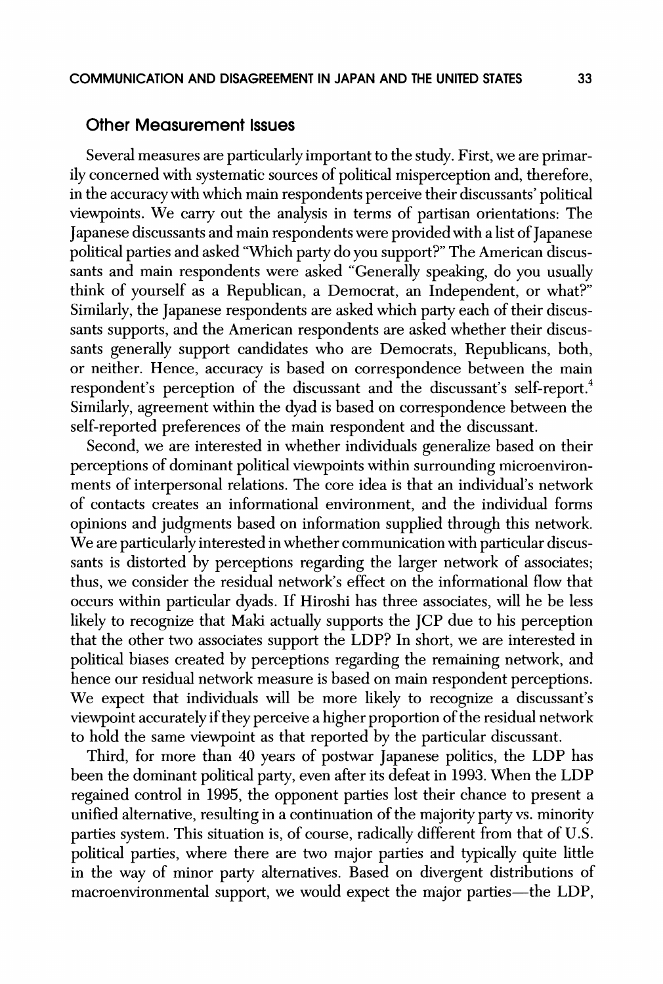#### **Other Measurement Issues**

**Several measures are particularly important to the study. First, we are primarily concerned with systematic sources of political misperception and, therefore, in the accuracy with which main respondents perceive their discussants' political viewpoints. We carry out the analysis in terms of partisan orientations: The Japanese discussants and main respondents were provided with a list of Japanese political parties and asked "Which party do you support?" The American discussants and main respondents were asked "Generally speaking, do you usually think of yourself as a Republican, a Democrat, an Independent, or what?" Similarly, the Japanese respondents are asked which party each of their discussants supports, and the American respondents are asked whether their discussants generally support candidates who are Democrats, Republicans, both, or neither. Hence, accuracy is based on correspondence between the main**  respondent's perception of the discussant and the discussant's self-report.<sup>4</sup> **Similarly, agreement within the dyad is based on correspondence between the self-reported preferences of the main respondent and the discussant.** 

**Second, we are interested in whether individuals generalize based on their perceptions of dominant political viewpoints within surrounding microenvironments of interpersonal relations. The core idea is that an individual's network of contacts creates an informational environment, and the individual forms opinions and judgments based on information supplied through this network. We are particularly interested in whether communication with particular discus**sants is distorted by perceptions regarding the larger network of associates; **thus, we consider the residual network's effect on the informational flow that occurs within particular dyads. If Hiroshi has three associates, will he be less likely to recognize that Maki actually supports the JCP due to his perception that the other two associates support the LDP? In short, we are interested in political biases created by perceptions regarding the remaining network, and hence our residual network measure is based on main respondent perceptions. We expect that individuals will be more likely to recognize a discussant's viewpoint accurately if they perceive a higher proportion of the residual network to hold the same viewpoint as that reported by the particular discussant.** 

**Third, for more than 40 years of postwar Japanese politics, the LDP has been the dominant political party, even after its defeat in 1993. When the LDP regained control in 1995, the opponent parties lost their chance to present a unified alternative, resulting in a continuation of the majority party vs. minority parties system. This situation is, of course, radically different from that of U.S. political parties, where there are two major parties and typically quite little in the way of minor party alternatives. Based on divergent distributions of**  macroenvironmental support, we would expect the major parties—the LDP,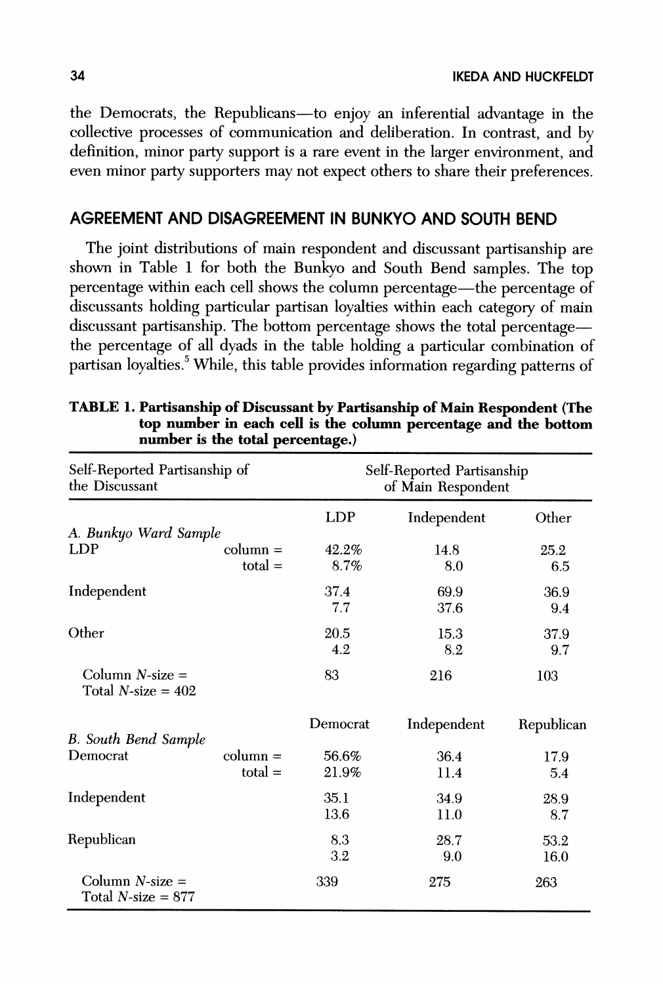**the Democrats, the Republicans-to enjoy an inferential advantage in the collective processes of communication and deliberation. In contrast, and by definition, minor party support is a rare event in the larger environment, and even minor party supporters may not expect others to share their preferences.** 

## **AGREEMENT AND DISAGREEMENT IN BUNKYO AND SOUTH BEND**

**The joint distributions of main respondent and discussant partisanship are shown in Table 1 for both the Bunkyo and South Bend samples. The top percentage within each cell shows the column percentage-the percentage of discussants holding particular partisan loyalties within each category of main discussant partisanship. The bottom percentage shows the total percentagethe percentage of all dyads in the table holding a particular combination of partisan loyalties.5 While, this table provides information regarding patterns of** 

| Self-Reported Partisanship of<br>the Discussant |                         | Self-Reported Partisanship<br>of Main Respondent |              |              |  |
|-------------------------------------------------|-------------------------|--------------------------------------------------|--------------|--------------|--|
| A. Bunkyo Ward Sample                           |                         | <b>LDP</b>                                       | Independent  | Other        |  |
| LDP                                             | $column =$<br>$total =$ | 42.2%<br>8.7%                                    | 14.8<br>8.0  | 25.2<br>6.5  |  |
| Independent                                     |                         | 37.4<br>7.7                                      | 69.9<br>37.6 | 36.9<br>9.4  |  |
| Other                                           |                         | 20.5<br>4.2                                      | 15.3<br>8.2  | 37.9<br>9.7  |  |
| Column $N$ -size $=$<br>Total $N$ -size = 402   |                         | 83                                               | 216          | 103          |  |
| <b>B.</b> South Bend Sample                     |                         | Democrat                                         | Independent  | Republican   |  |
| Democrat                                        | $column =$<br>$total =$ | 56.6%<br>21.9%                                   | 36.4<br>11.4 | 17.9<br>5.4  |  |
| Independent                                     |                         | 35.1<br>13.6                                     | 34.9<br>11.0 | 28.9<br>8.7  |  |
| Republican                                      |                         | 8.3<br>3.2                                       | 28.7<br>9.0  | 53.2<br>16.0 |  |
| Column $N$ -size $=$<br>Total $N$ -size = 877   |                         | 339                                              | 275          | 263          |  |

| TABLE 1. Partisanship of Discussant by Partisanship of Main Respondent (The |
|-----------------------------------------------------------------------------|
| top number in each cell is the column percentage and the bottom             |
| number is the total percentage.)                                            |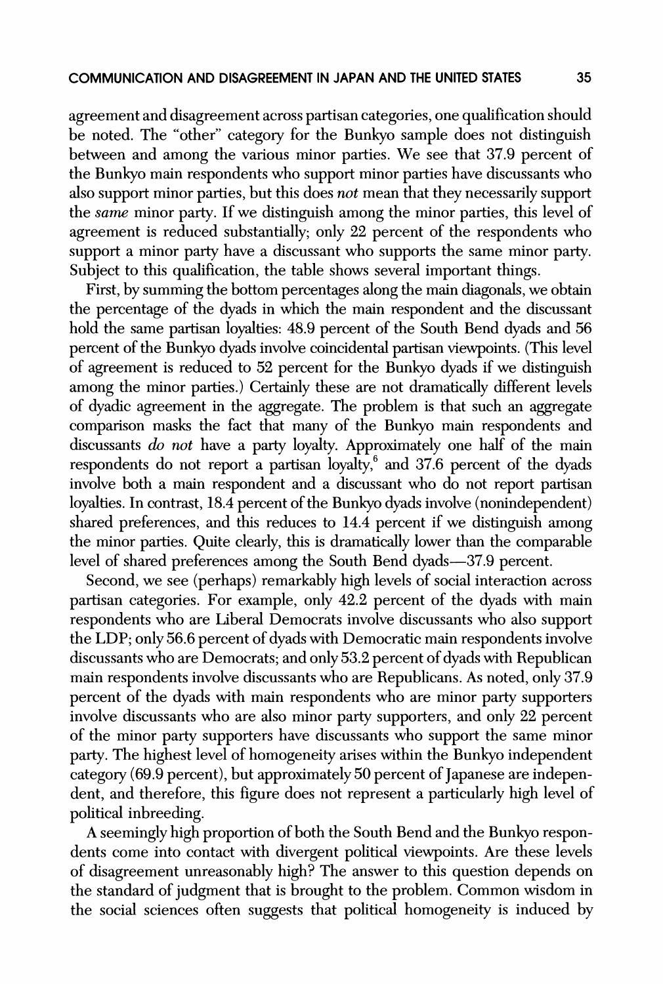**agreement and disagreement across partisan categories, one qualification should be noted. The "other" category for the Bunkyo sample does not distinguish between and among the various minor parties. We see that 37.9 percent of the Bunkyo main respondents who support minor parties have discussants who also support minor parties, but this does not mean that they necessarily support the same minor party. If we distinguish among the minor parties, this level of agreement is reduced substantially; only 22 percent of the respondents who support a minor party have a discussant who supports the same minor party. Subject to this qualification, the table shows several important things.** 

**First, by summing the bottom percentages along the main diagonals, we obtain the percentage of the dyads in which the main respondent and the discussant hold the same partisan loyalties: 48.9 percent of the South Bend dyads and 56 percent of the Bunkyo dyads involve coincidental partisan viewpoints. (This level of agreement is reduced to 52 percent for the Bunkyo dyads if we distinguish among the minor parties.) Certainly these are not dramatically different levels of dyadic agreement in the aggregate. The problem is that such an aggregate comparison masks the fact that many of the Bunkyo main respondents and discussants do not have a party loyalty. Approximately one half of the main**  respondents do not report a partisan loyalty,<sup>6</sup> and 37.6 percent of the dyads **involve both a main respondent and a discussant who do not report partisan loyalties. In contrast, 18.4 percent of the Bunkyo dyads involve (nonindependent) shared preferences, and this reduces to 14.4 percent if we distinguish among the minor parties. Quite clearly, this is dramatically lower than the comparable level of shared preferences among the South Bend dyads-37.9 percent.** 

**Second, we see (perhaps) remarkably high levels of social interaction across partisan categories. For example, only 42.2 percent of the dyads with main respondents who are Liberal Democrats involve discussants who also support the LDP; only 56.6 percent of dyads with Democratic main respondents involve discussants who are Democrats; and only 53.2 percent of dyads with Republican main respondents involve discussants who are Republicans. As noted, only 37.9 percent of the dyads with main respondents who are minor party supporters involve discussants who are also minor party supporters, and only 22 percent of the minor party supporters have discussants who support the same minor party. The highest level of homogeneity arises within the Bunkyo independent category (69.9 percent), but approximately 50 percent of Japanese are independent, and therefore, this figure does not represent a particularly high level of political inbreeding.** 

**A seemingly high proportion of both the South Bend and the Bunkyo respondents come into contact with divergent political viewpoints. Are these levels of disagreement unreasonably high? The answer to this question depends on the standard of judgment that is brought to the problem. Common wisdom in the social sciences often suggests that political homogeneity is induced by**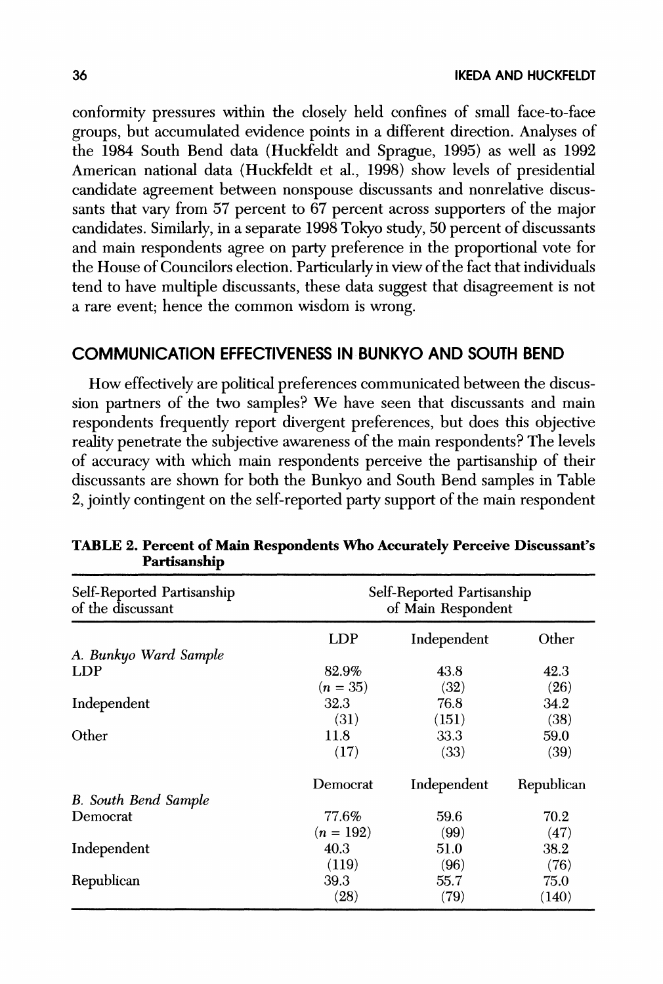**conformity pressures within the closely held confines of small face-to-face groups, but accumulated evidence points in a different direction. Analyses of the 1984 South Bend data (Huckfeldt and Sprague, 1995) as well as 1992 American national data (Huckfeldt et al., 1998) show levels of presidential candidate agreement between nonspouse discussants and nonrelative discussants that vary from 57 percent to 67 percent across supporters of the major candidates. Similarly, in a separate 1998 Tokyo study, 50 percent of discussants and main respondents agree on party preference in the proportional vote for the House of Councilors election. Particularly in view of the fact that individuals tend to have multiple discussants, these data suggest that disagreement is not a rare event; hence the common wisdom is wrong.** 

## **COMMUNICATION EFFECTIVENESS IN BUNKYO AND SOUTH BEND**

**How effectively are political preferences communicated between the discussion partners of the two samples? We have seen that discussants and main respondents frequently report divergent preferences, but does this objective reality penetrate the subjective awareness of the main respondents? The levels of accuracy with which main respondents perceive the partisanship of their discussants are shown for both the Bunkyo and South Bend samples in Table 2, jointly contingent on the self-reported party support of the main respondent** 

| Self-Reported Partisanship<br>of the discussant | Self-Reported Partisanship<br>of Main Respondent |             |            |  |
|-------------------------------------------------|--------------------------------------------------|-------------|------------|--|
|                                                 | LDP                                              | Independent | Other      |  |
| A. Bunkyo Ward Sample                           |                                                  |             |            |  |
| LDP                                             | 82.9%                                            | 43.8        | 42.3       |  |
|                                                 | $(n = 35)$                                       | (32)        | (26)       |  |
| Independent                                     | 32.3                                             | 76.8        | 34.2       |  |
|                                                 | (31)                                             | (151)       | (38)       |  |
| Other                                           | 11.8                                             | 33.3        | 59.0       |  |
|                                                 | (17)                                             | (33)        | (39)       |  |
|                                                 | Democrat                                         | Independent | Republican |  |
| <b>B.</b> South Bend Sample                     |                                                  |             |            |  |
| Democrat                                        | 77.6%                                            | 59.6        | 70.2       |  |
|                                                 | $(n = 192)$                                      | (99)        | (47)       |  |
| Independent                                     | 40.3                                             | 51.0        | 38.2       |  |
|                                                 | (119)                                            | (96)        | (76)       |  |
| Republican                                      | 39.3                                             | 55.7        | 75.0       |  |
|                                                 | (28)                                             | (79)        | (140)      |  |

**TABLE 2. Percent of Main Respondents Who Accurately Perceive Discussant's Partisanship**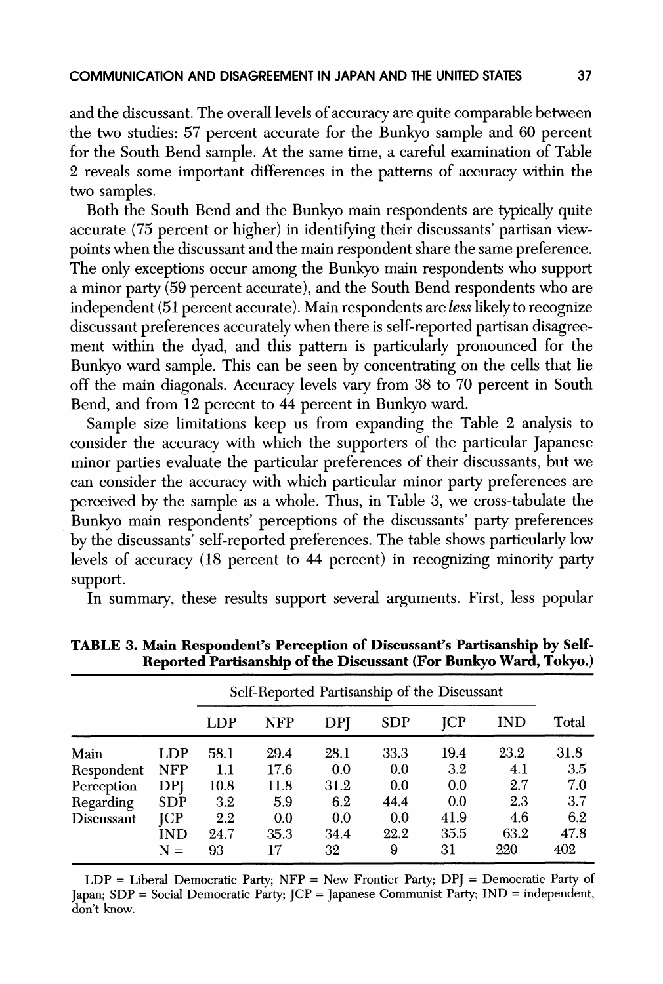**and the discussant. The overall levels of accuracy are quite comparable between the two studies: 57 percent accurate for the Bunkyo sample and 60 percent for the South Bend sample. At the same time, a careful examination of Table 2 reveals some important differences in the patterns of accuracy within the two samples.** 

**Both the South Bend and the Bunkyo main respondents are typically quite accurate (75 percent or higher) in identifying their discussants' partisan viewpoints when the discussant and the main respondent share the same preference. The only exceptions occur among the Bunkyo main respondents who support a minor party (59 percent accurate), and the South Bend respondents who are independent (51 percent accurate). Main respondents are less likely to recognize discussant preferences accurately when there is self-reported partisan disagreement within the dyad, and this pattern is particularly pronounced for the Bunkyo ward sample. This can be seen by concentrating on the cells that lie off the main diagonals. Accuracy levels vary from 38 to 70 percent in South Bend, and from 12 percent to 44 percent in Bunkyo ward.** 

**Sample size limitations keep us from expanding the Table 2 analysis to consider the accuracy with which the supporters of the particular Japanese minor parties evaluate the particular preferences of their discussants, but we can consider the accuracy with which particular minor party preferences are perceived by the sample as a whole. Thus, in Table 3, we cross-tabulate the Bunkyo main respondents' perceptions of the discussants' party preferences by the discussants' self-reported preferences. The table shows particularly low levels of accuracy (18 percent to 44 percent) in recognizing minority party support.** 

**In summary, these results support several arguments. First, less popular** 

|            |            | Self-Reported Partisanship of the Discussant |            |      |            |            |      |       |
|------------|------------|----------------------------------------------|------------|------|------------|------------|------|-------|
|            |            | LDP                                          | <b>NFP</b> | DPI  | <b>SDP</b> | <b>ICP</b> | IND  | Total |
| Main       | LDP        | 58.1                                         | 29.4       | 28.1 | 33.3       | 19.4       | 23.2 | 31.8  |
| Respondent | <b>NFP</b> | $1.1\,$                                      | 17.6       | 0.0  | 0.0        | 3.2        | 4.1  | 3.5   |
| Perception | DPI        | 10.8                                         | 11.8       | 31.2 | 0.0        | 0.0        | 2.7  | 7.0   |
| Regarding  | <b>SDP</b> | 3.2                                          | 5.9        | 6.2  | 44.4       | 0.0        | 2.3  | 3.7   |
| Discussant | IСP        | 2.2                                          | 0.0        | 0.0  | 0.0        | 41.9       | 4.6  | 6.2   |
|            | IND        | 24.7                                         | 35.3       | 34.4 | 22.2       | 35.5       | 63.2 | 47.8  |
|            | $N =$      | 93                                           | 17         | 32   | 9          | 31         | 220  | 402   |

**TABLE 3. Main Respondent's Perception of Discussant's Partisanship by Self-Reported Partisanship of the Discussant (For Bunkyo Ward, Tokyo.)** 

**LDP = Liberal Democratic Party; NFP = New Frontier Party; DPJ = Democratic Party of Japan; SDP = Social Democratic Party; JCP = Japanese Communist Party; IND = independent, don't know.**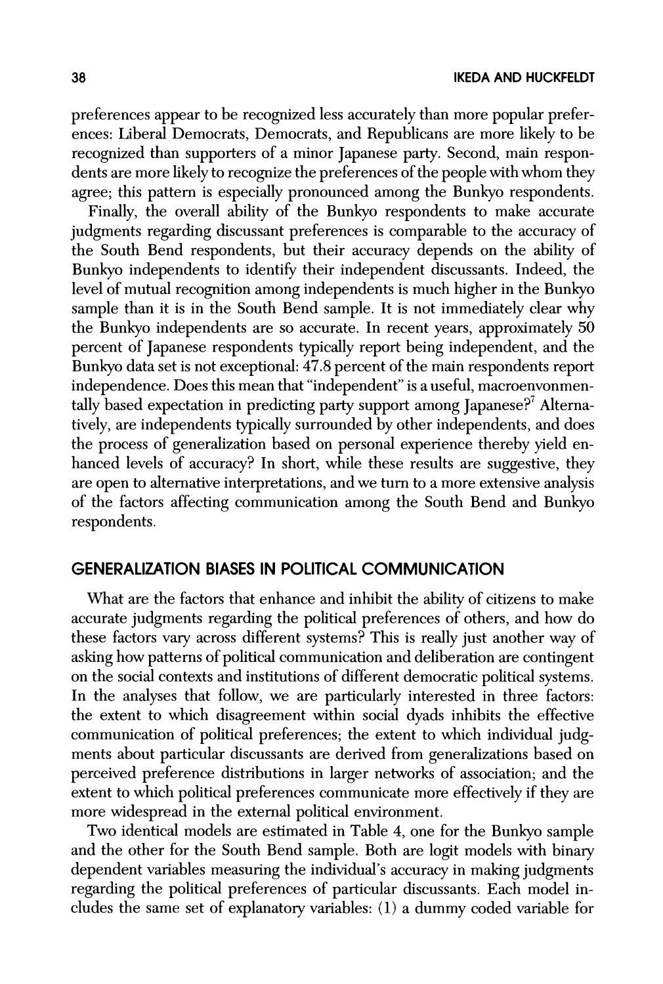**preferences appear to be recognized less accurately than more popular preferences: Liberal Democrats, Democrats, and Republicans are more likely to be recognized than supporters of a minor Japanese party. Second, main respondents are more likely to recognize the preferences of the people with whom they agree; this pattern is especially pronounced among the Bunkyo respondents.** 

**Finally, the overall ability of the Bunkyo respondents to make accurate judgments regarding discussant preferences is comparable to the accuracy of the South Bend respondents, but their accuracy depends on the ability of Bunkyo independents to identify their independent discussants. Indeed, the level of mutual recognition among independents is much higher in the Bunkyo sample than it is in the South Bend sample. It is not immediately clear why the Bunkyo independents are so accurate. In recent years, approximately 50 percent of Japanese respondents typically report being independent, and the Bunkyo data set is not exceptional: 47.8 percent of the main respondents report independence. Does this mean that "independent" is a useful, macroenvonmen**tally based expectation in predicting party support among Japanese?<sup>7</sup> Alterna**tively, are independents typically surrounded by other independents, and does the process of generalization based on personal experience thereby yield enhanced levels of accuracy? In short, while these results are suggestive, they are open to alternative interpretations, and we turn to a more extensive analysis of the factors affecting communication among the South Bend and Bunkyo respondents.** 

## **GENERALIZATION BIASES IN POLITICAL COMMUNICATION**

**What are the factors that enhance and inhibit the ability of citizens to make accurate judgments regarding the political preferences of others, and how do these factors vary across different systems? This is really just another way of asking how patterns of political communication and deliberation are contingent on the social contexts and institutions of different democratic political systems. In the analyses that follow, we are particularly interested in three factors: the extent to which disagreement within social dyads inhibits the effective communication of political preferences; the extent to which individual judgments about particular discussants are derived from generalizations based on perceived preference distributions in larger networks of association; and the extent to which political preferences communicate more effectively if they are more widespread in the external political environment.** 

**Two identical models are estimated in Table 4, one for the Bunkyo sample and the other for the South Bend sample. Both are logit models with binary dependent variables measuring the individual's accuracy in making judgments regarding the political preferences of particular discussants. Each model includes the same set of explanatory variables: (1) a dummy coded variable for**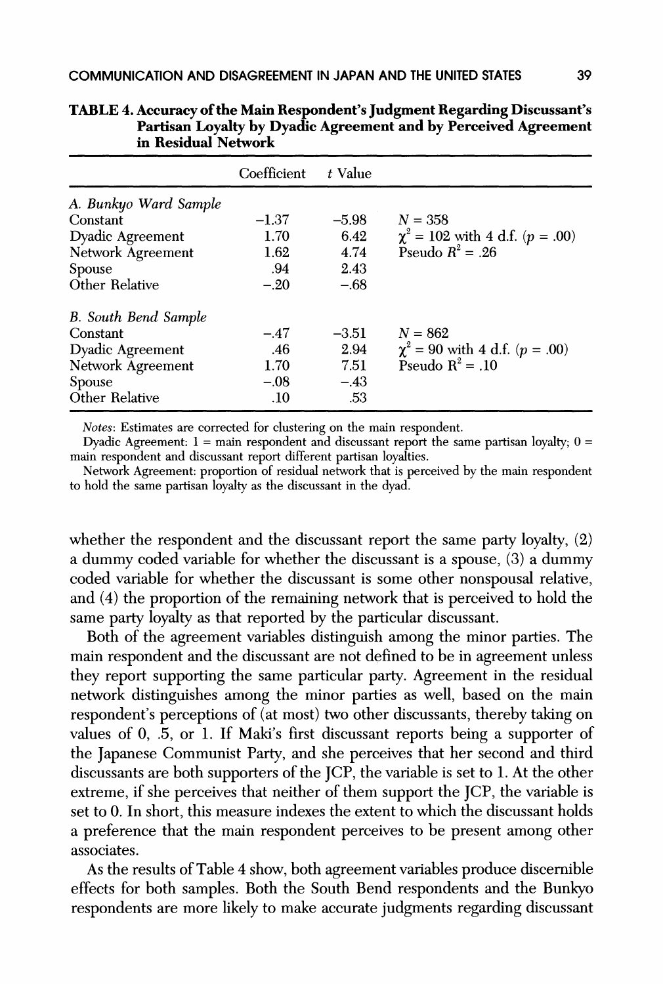|                             | Coefficient | t Value |                                          |
|-----------------------------|-------------|---------|------------------------------------------|
| A. Bunkyo Ward Sample       |             |         |                                          |
| Constant                    | $-1.37$     | $-5.98$ | $N = 358$                                |
| Dyadic Agreement            | 1.70        | 6.42    | $\chi^2$ = 102 with 4 d.f. ( $p = .00$ ) |
| Network Agreement           | 1.62        | 4.74    | Pseudo $R^2 = .26$                       |
| Spouse                      | .94         | 2.43    |                                          |
| Other Relative              | $-.20$      | $-.68$  |                                          |
| <b>B.</b> South Bend Sample |             |         |                                          |
| Constant                    | $-47$       | $-3.51$ | $N = 862$                                |
| Dyadic Agreement            | .46         | 2.94    | $\chi^2 = 90$ with 4 d.f. ( $p = .00$ )  |
| Network Agreement           | 1.70        | 7.51    | Pseudo $R^2 = .10$                       |
| Spouse                      | $-.08$      | $-.43$  |                                          |
| Other Relative              | .10         | .53     |                                          |

| TABLE 4. Accuracy of the Main Respondent's Judgment Regarding Discussant's |                                                                 |
|----------------------------------------------------------------------------|-----------------------------------------------------------------|
|                                                                            | Partisan Loyalty by Dyadic Agreement and by Perceived Agreement |
| in Residual Network                                                        |                                                                 |

**Notes: Estimates are corrected for clustering on the main respondent.** 

Dyadic Agreement: 1 = main respondent and discussant report the same partisan loyalty; 0 = **main respondent and discussant report different partisan loyalties.** 

**Network Agreement: proportion of residual network that is perceived by the main respondent to hold the same partisan loyalty as the discussant in the dyad.** 

**whether the respondent and the discussant report the same party loyalty, (2) a dummy coded variable for whether the discussant is a spouse, (3) a dummy coded variable for whether the discussant is some other nonspousal relative, and (4) the proportion of the remaining network that is perceived to hold the same party loyalty as that reported by the particular discussant.** 

**Both of the agreement variables distinguish among the minor parties. The main respondent and the discussant are not defined to be in agreement unless they report supporting the same particular party. Agreement in the residual network distinguishes among the minor parties as well, based on the main respondent's perceptions of (at most) two other discussants, thereby taking on values of 0, .5, or 1. If Maki's first discussant reports being a supporter of the Japanese Communist Party, and she perceives that her second and third discussants are both supporters of the JCP, the variable is set to 1. At the other extreme, if she perceives that neither of them support the JCP, the variable is set to 0. In short, this measure indexes the extent to which the discussant holds a preference that the main respondent perceives to be present among other associates.** 

**As the results of Table 4 show, both agreement variables produce discernible effects for both samples. Both the South Bend respondents and the Bunkyo respondents are more likely to make accurate judgments regarding discussant**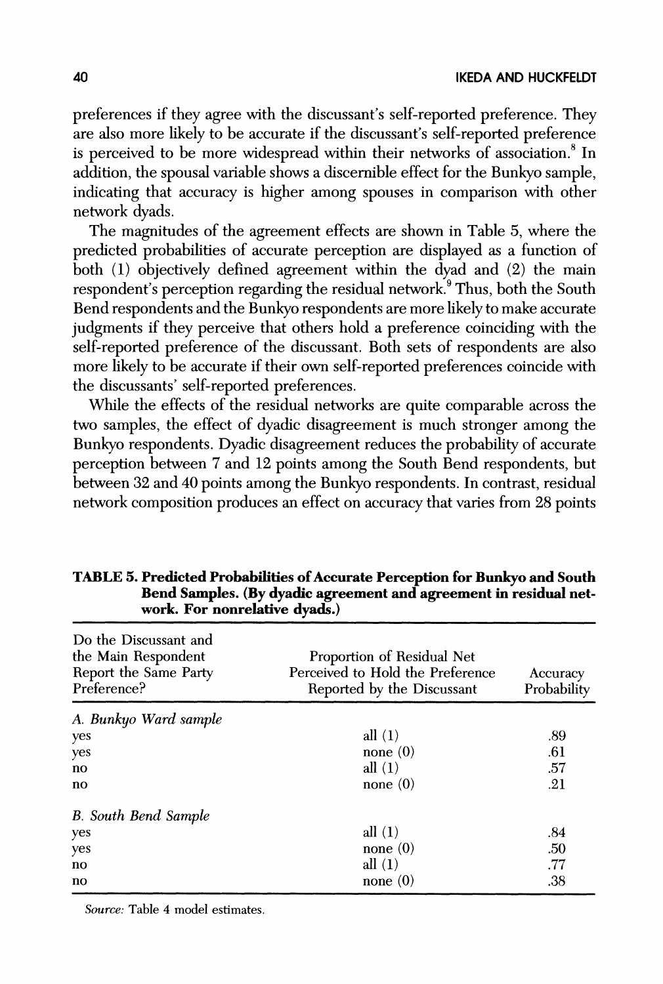**preferences if they agree with the discussant's self-reported preference. They are also more likely to be accurate if the discussant's self-reported preference**  is perceived to be more widespread within their networks of association.<sup>8</sup> In **addition, the spousal variable shows a discernible effect for the Bunkyo sample, indicating that accuracy is higher among spouses in comparison with other network dyads.** 

**The magnitudes of the agreement effects are shown in Table 5, where the predicted probabilities of accurate perception are displayed as a function of both (1) objectively defined agreement within the dyad and (2) the main respondent's perception regarding the residual network.9 Thus, both the South Bend respondents and the Bunkyo respondents are more likely to make accurate judgments if they perceive that others hold a preference coinciding with the self-reported preference of the discussant. Both sets of respondents are also more likely to be accurate if their own self-reported preferences coincide with the discussants' self-reported preferences.** 

**While the effects of the residual networks are quite comparable across the two samples, the effect of dyadic disagreement is much stronger among the Bunkyo respondents. Dyadic disagreement reduces the probability of accurate perception between 7 and 12 points among the South Bend respondents, but between 32 and 40 points among the Bunkyo respondents. In contrast, residual network composition produces an effect on accuracy that varies from 28 points** 

| Do the Discussant and<br>the Main Respondent<br>Report the Same Party<br>Preference? | Proportion of Residual Net<br>Perceived to Hold the Preference<br>Reported by the Discussant | Accuracy<br>Probability |  |
|--------------------------------------------------------------------------------------|----------------------------------------------------------------------------------------------|-------------------------|--|
| A. Bunkyo Ward sample                                                                |                                                                                              |                         |  |
| yes                                                                                  | all $(1)$                                                                                    | .89                     |  |
| yes                                                                                  | none $(0)$                                                                                   | .61                     |  |
| no                                                                                   | all $(1)$                                                                                    | .57                     |  |
| no                                                                                   | none $(0)$                                                                                   | .21                     |  |
| <b>B.</b> South Bend Sample                                                          |                                                                                              |                         |  |
| yes                                                                                  | all $(1)$                                                                                    | .84                     |  |
| yes                                                                                  | none $(0)$                                                                                   | .50                     |  |
| no                                                                                   | all $(1)$                                                                                    | .77                     |  |
| no                                                                                   | none $(0)$                                                                                   | .38                     |  |

**TABLE 5. Predicted Probabilities of Accurate Perception for Bunkyo and South Bend Samples. (By dyadic agreement and agreement in residual network. For nonrelative dyads.)** 

**Source: Table 4 model estimates.**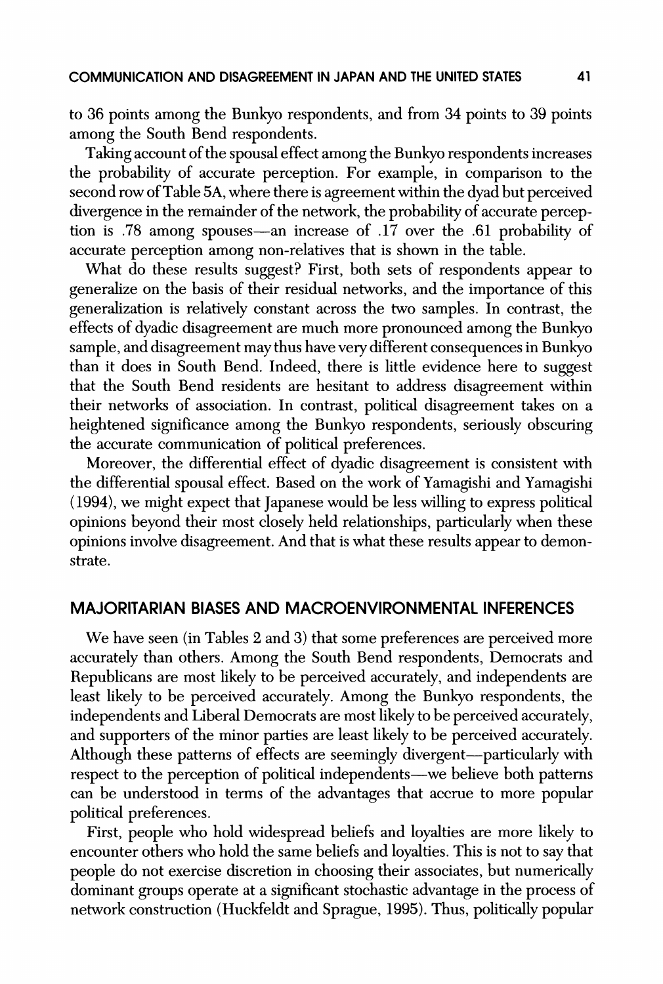**to 36 points among the Bunkyo respondents, and from 34 points to 39 points among the South Bend respondents.** 

**Taking account of the spousal effect among the Bunkyo respondents increases the probability of accurate perception. For example, in comparison to the second row of Table 5A, where there is agreement within the dyad but perceived divergence in the remainder of the network, the probability of accurate perception is .78 among spouses-an increase of .17 over the .61 probability of accurate perception among non-relatives that is shown in the table.** 

**What do these results suggest? First, both sets of respondents appear to generalize on the basis of their residual networks, and the importance of this generalization is relatively constant across the two samples. In contrast, the effects of dyadic disagreement are much more pronounced among the Bunkyo sample, and disagreement may thus have very different consequences in Bunkyo than it does in South Bend. Indeed, there is little evidence here to suggest that the South Bend residents are hesitant to address disagreement within their networks of association. In contrast, political disagreement takes on a heightened significance among the Bunkyo respondents, seriously obscuring the accurate communication of political preferences.** 

**Moreover, the differential effect of dyadic disagreement is consistent with the differential spousal effect. Based on the work of Yamagishi and Yamagishi (1994), we might expect that Japanese would be less willing to express political opinions beyond their most closely held relationships, particularly when these opinions involve disagreement. And that is what these results appear to demonstrate.** 

#### **MAJORITARIAN BIASES AND MACROENVIRONMENTAL INFERENCES**

**We have seen (in Tables 2 and 3) that some preferences are perceived more accurately than others. Among the South Bend respondents, Democrats and Republicans are most likely to be perceived accurately, and independents are least likely to be perceived accurately. Among the Bunkyo respondents, the independents and Liberal Democrats are most likely to be perceived accurately, and supporters of the minor parties are least likely to be perceived accurately. Although these patterns of effects are seemingly divergent-particularly with respect to the perception of political independents-we believe both patterns can be understood in terms of the advantages that accrue to more popular political preferences.** 

**First, people who hold widespread beliefs and loyalties are more likely to encounter others who hold the same beliefs and loyalties. This is not to say that people do not exercise discretion in choosing their associates, but numerically dominant groups operate at a significant stochastic advantage in the process of network construction (Huckfeldt and Sprague, 1995). Thus, politically popular**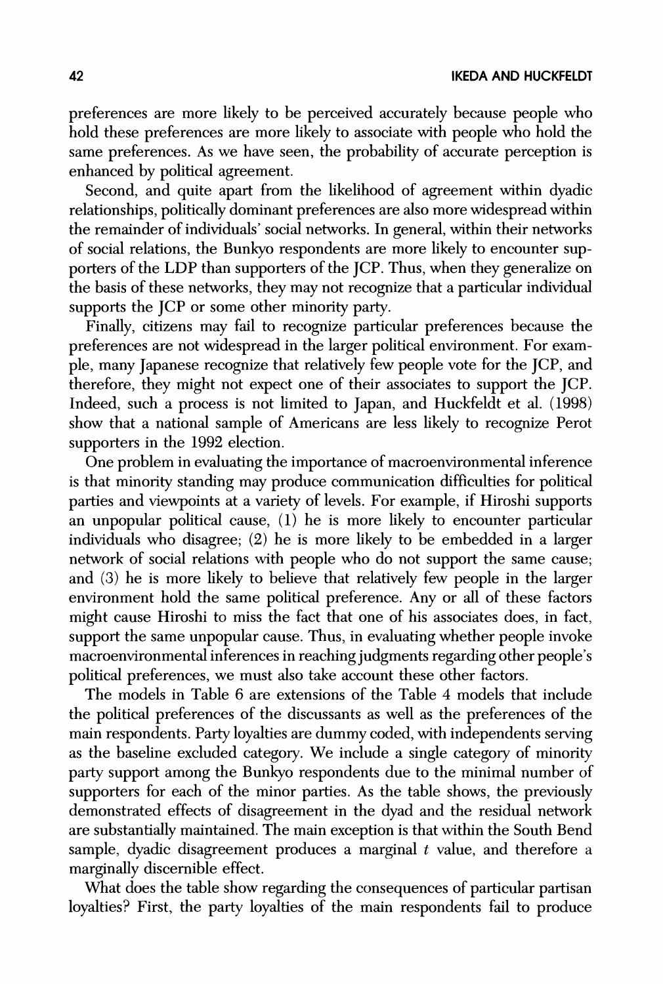**preferences are more likely to be perceived accurately because people who hold these preferences are more likely to associate with people who hold the**  same preferences. As we have seen, the probability of accurate perception is **enhanced by political agreement.** 

**Second, and quite apart from the likelihood of agreement within dyadic relationships, politically dominant preferences are also more widespread within the remainder of individuals' social networks. In general, within their networks of social relations, the Bunkyo respondents are more likely to encounter supporters of the LDP than supporters of the JCP. Thus, when they generalize on the basis of these networks, they may not recognize that a particular individual supports the JCP or some other minority party.** 

**Finally, citizens may fail to recognize particular preferences because the preferences are not widespread in the larger political environment. For example, many Japanese recognize that relatively few people vote for the JCP, and therefore, they might not expect one of their associates to support the JCP. Indeed, such a process is not limited to Japan, and Huckfeldt et al. (1998) show that a national sample of Americans are less likely to recognize Perot supporters in the 1992 election.** 

**One problem in evaluating the importance of macroenvironmental inference is that minority standing may produce communication difficulties for political parties and viewpoints at a variety of levels. For example, if Hiroshi supports an unpopular political cause, (1) he is more likely to encounter particular individuals who disagree; (2) he is more likely to be embedded in a larger network of social relations with people who do not support the same cause; and (3) he is more likely to believe that relatively few people in the larger environment hold the same political preference. Any or all of these factors might cause Hiroshi to miss the fact that one of his associates does, in fact, support the same unpopular cause. Thus, in evaluating whether people invoke macroenvironmental inferences in reaching judgments regarding other people's political preferences, we must also take account these other factors.** 

**The models in Table 6 are extensions of the Table 4 models that include the political preferences of the discussants as well as the preferences of the main respondents. Party loyalties are dummy coded, with independents serving as the baseline excluded category. We include a single category of minority party support among the Bunkyo respondents due to the minimal number of supporters for each of the minor parties. As the table shows, the previously demonstrated effects of disagreement in the dyad and the residual network are substantially maintained. The main exception is that within the South Bend**  sample, dyadic disagreement produces a marginal t value, and therefore a **marginally discernible effect.** 

**What does the table show regarding the consequences of particular partisan loyalties? First, the party loyalties of the main respondents fail to produce**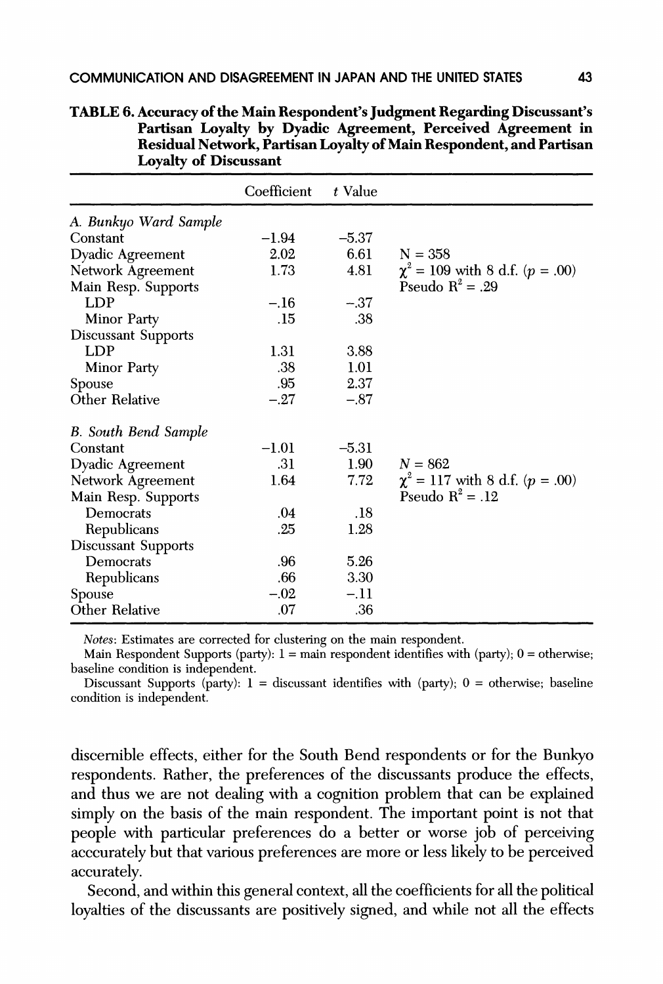|                             | Coefficient | t Value |                                          |
|-----------------------------|-------------|---------|------------------------------------------|
| A. Bunkyo Ward Sample       |             |         |                                          |
| Constant                    | $-1.94$     | $-5.37$ |                                          |
| Dyadic Agreement            | 2.02        | 6.61    | $N = 358$                                |
| Network Agreement           | 1.73        | 4.81    | $\chi^2$ = 109 with 8 d.f. ( $p = .00$ ) |
| Main Resp. Supports         |             |         | Pseudo $R^2 = .29$                       |
| LDP                         | $-.16$      | $-.37$  |                                          |
| Minor Party                 | .15         | .38     |                                          |
| <b>Discussant Supports</b>  |             |         |                                          |
| LDP                         | 1.31        | 3.88    |                                          |
| Minor Party                 | .38         | 1.01    |                                          |
| Spouse                      | .95         | 2.37    |                                          |
| Other Relative              | $-.27$      | $-.87$  |                                          |
| <b>B.</b> South Bend Sample |             |         |                                          |
| Constant                    | $-1.01$     | $-5.31$ |                                          |
| Dyadic Agreement            | .31         | 1.90    | $N = 862$                                |
| Network Agreement           | 1.64        | 7.72    | $\chi^2 = 117$ with 8 d.f. ( $p = .00$ ) |
| Main Resp. Supports         |             |         | Pseudo $R^2 = .12$                       |
| Democrats                   | .04         | .18     |                                          |
| Republicans                 | .25         | 1.28    |                                          |
| <b>Discussant Supports</b>  |             |         |                                          |
| Democrats                   | .96         | 5.26    |                                          |
| Republicans                 | .66         | 3.30    |                                          |
| Spouse                      | $-.02$      | $-.11$  |                                          |
| Other Relative              | .07         | .36     |                                          |

**TABLE 6. Accuracy of the Main Respondent's Judgment Regarding Discussant's Partisan Loyalty by Dyadic Agreement, Perceived Agreement in Residual Network, Partisan Loyalty of Main Respondent, and Partisan Loyalty of Discussant** 

**Notes: Estimates are corrected for clustering on the main respondent.** 

**Main Respondent Supports (party): 1 = main respondent identifies with (party); 0 = otherwise; baseline condition is independent.** 

**Discussant Supports (party): 1 = discussant identifies with (party); 0 = otherwise; baseline condition is independent.** 

**discernible effects, either for the South Bend respondents or for the Bunkyo respondents. Rather, the preferences of the discussants produce the effects, and thus we are not dealing with a cognition problem that can be explained simply on the basis of the main respondent. The important point is not that people with particular preferences do a better or worse job of perceiving acccurately but that various preferences are more or less likely to be perceived accurately.** 

**Second, and within this general context, all the coefficients for all the political loyalties of the discussants are positively signed, and while not all the effects**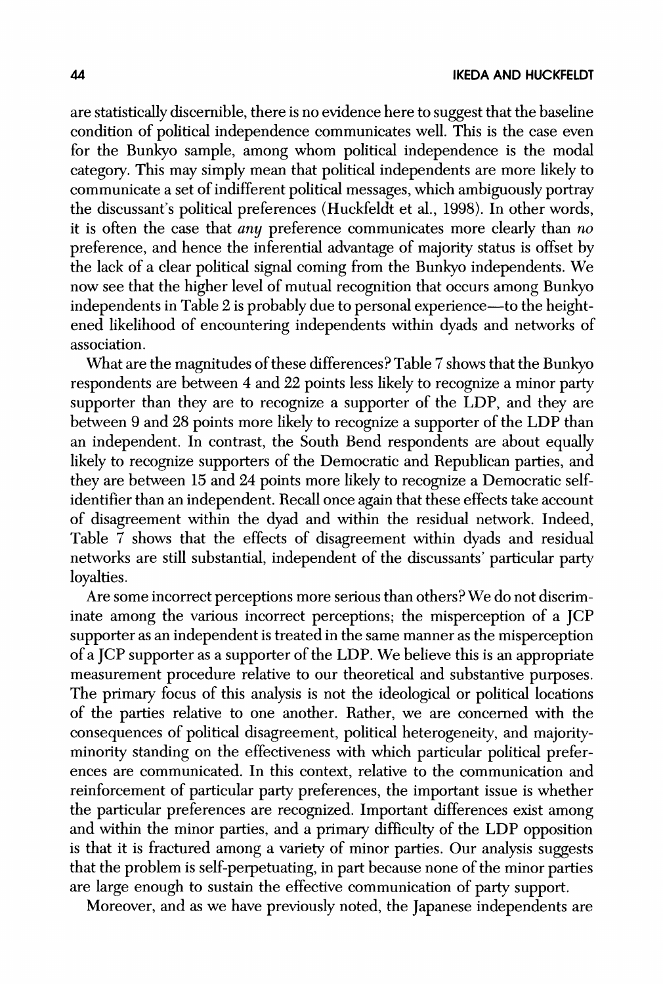**are statistically discernible, there is no evidence here to suggest that the baseline condition of political independence communicates well. This is the case even for the Bunkyo sample, among whom political independence is the modal category. This may simply mean that political independents are more likely to communicate a set of indifferent political messages, which ambiguously portray the discussant's political preferences (Huckfeldt et al., 1998). In other words, it is often the case that any preference communicates more clearly than no preference, and hence the inferential advantage of majority status is offset by the lack of a clear political signal coming from the Bunkyo independents. We now see that the higher level of mutual recognition that occurs among Bunkyo**  independents in Table 2 is probably due to personal experience—to the height**ened likelihood of encountering independents within dyads and networks of association.** 

**What are the magnitudes of these differences? Table 7 shows that the Bunkyo respondents are between 4 and 22 points less likely to recognize a minor party**  supporter than they are to recognize a supporter of the LDP, and they are **between 9 and 28 points more likely to recognize a supporter of the LDP than an independent. In contrast, the South Bend respondents are about equally likely to recognize supporters of the Democratic and Republican parties, and they are between 15 and 24 points more likely to recognize a Democratic selfidentifier than an independent. Recall once again that these effects take account of disagreement within the dyad and within the residual network. Indeed, Table 7 shows that the effects of disagreement within dyads and residual networks are still substantial, independent of the discussants' particular party loyalties.** 

**Are some incorrect perceptions more serious than others? We do not discriminate among the various incorrect perceptions; the misperception of a JCP supporter as an independent is treated in the same manner as the misperception of a JCP supporter as a supporter of the LDP. We believe this is an appropriate measurement procedure relative to our theoretical and substantive purposes. The primary focus of this analysis is not the ideological or political locations of the parties relative to one another. Rather, we are concerned with the consequences of political disagreement, political heterogeneity, and majorityminority standing on the effectiveness with which particular political preferences are communicated. In this context, relative to the communication and reinforcement of particular party preferences, the important issue is whether the particular preferences are recognized. Important differences exist among and within the minor parties, and a primary difficulty of the LDP opposition is that it is fractured among a variety of minor parties. Our analysis suggests that the problem is self-perpetuating, in part because none of the minor parties are large enough to sustain the effective communication of party support.** 

**Moreover, and as we have previously noted, the Japanese independents are**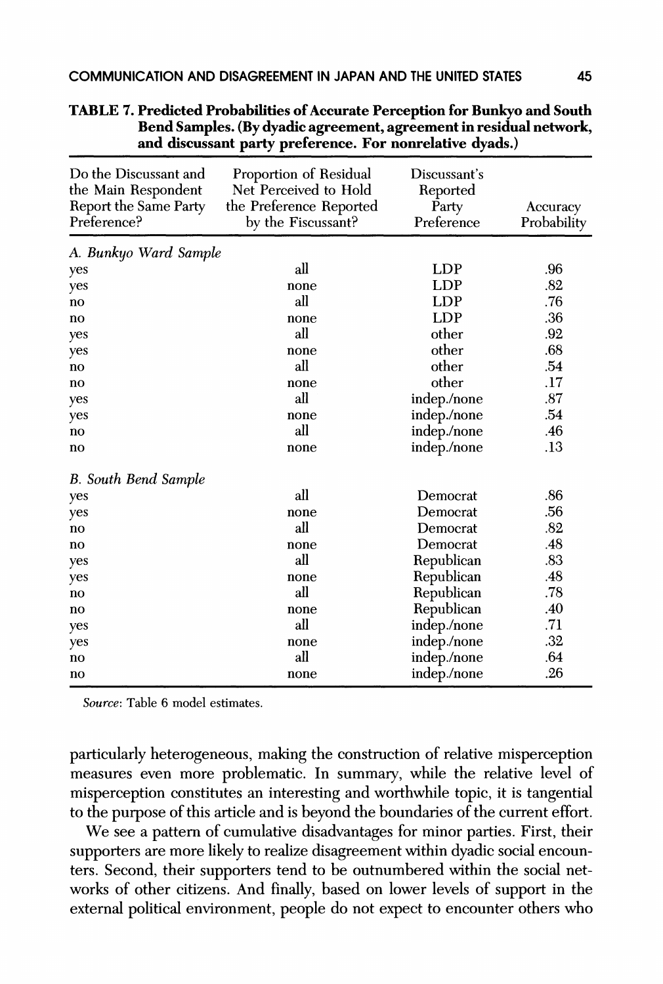| Proportion of Residual<br>Net Perceived to Hold<br>the Preference Reported<br>by the Fiscussant? | Discussant's<br>Reported<br>Party<br>Preference | Accuracy<br>Probability                                                             |
|--------------------------------------------------------------------------------------------------|-------------------------------------------------|-------------------------------------------------------------------------------------|
|                                                                                                  |                                                 |                                                                                     |
| all                                                                                              | LDP                                             | .96                                                                                 |
| none                                                                                             | LDP                                             | .82                                                                                 |
| all                                                                                              | <b>LDP</b>                                      | .76                                                                                 |
| none                                                                                             | <b>LDP</b>                                      | .36                                                                                 |
| all                                                                                              | other                                           | .92                                                                                 |
| none                                                                                             | other                                           | .68                                                                                 |
| all                                                                                              | other                                           | .54                                                                                 |
| none                                                                                             | other                                           | .17                                                                                 |
| all                                                                                              |                                                 | .87                                                                                 |
| none                                                                                             |                                                 | .54                                                                                 |
| all                                                                                              | indep./none                                     | .46                                                                                 |
| none                                                                                             | indep./none                                     | .13                                                                                 |
|                                                                                                  |                                                 |                                                                                     |
| all                                                                                              | Democrat                                        | .86                                                                                 |
| none                                                                                             | Democrat                                        | .56                                                                                 |
| all                                                                                              | Democrat                                        | .82                                                                                 |
| none                                                                                             | Democrat                                        | .48                                                                                 |
| all                                                                                              |                                                 | .83                                                                                 |
| none                                                                                             |                                                 | .48                                                                                 |
| all                                                                                              |                                                 | .78                                                                                 |
| none                                                                                             | Republican                                      | .40                                                                                 |
| all                                                                                              |                                                 | .71                                                                                 |
| none                                                                                             | indep./none                                     | .32                                                                                 |
| all                                                                                              | indep./none                                     | .64                                                                                 |
| none                                                                                             | indep./none                                     | .26                                                                                 |
|                                                                                                  | A. Bunkyo Ward Sample                           | indep./none<br>indep./none<br>Republican<br>Republican<br>Republican<br>indep./none |

**TABLE 7. Predicted Probabilities of Accurate Perception for Bunkyo and South Bend Samples. (By dyadic agreement, agreement in residual network, and discussant party preference. For nonrelative dyads.)** 

**Source: Table 6 model estimates.** 

**particularly heterogeneous, making the construction of relative misperception measures even more problematic. In summary, while the relative level of misperception constitutes an interesting and worthwhile topic, it is tangential to the purpose of this article and is beyond the boundaries of the current effort.** 

**We see a pattern of cumulative disadvantages for minor parties. First, their supporters are more likely to realize disagreement within dyadic social encounters. Second, their supporters tend to be outnumbered within the social networks of other citizens. And finally, based on lower levels of support in the external political environment, people do not expect to encounter others who**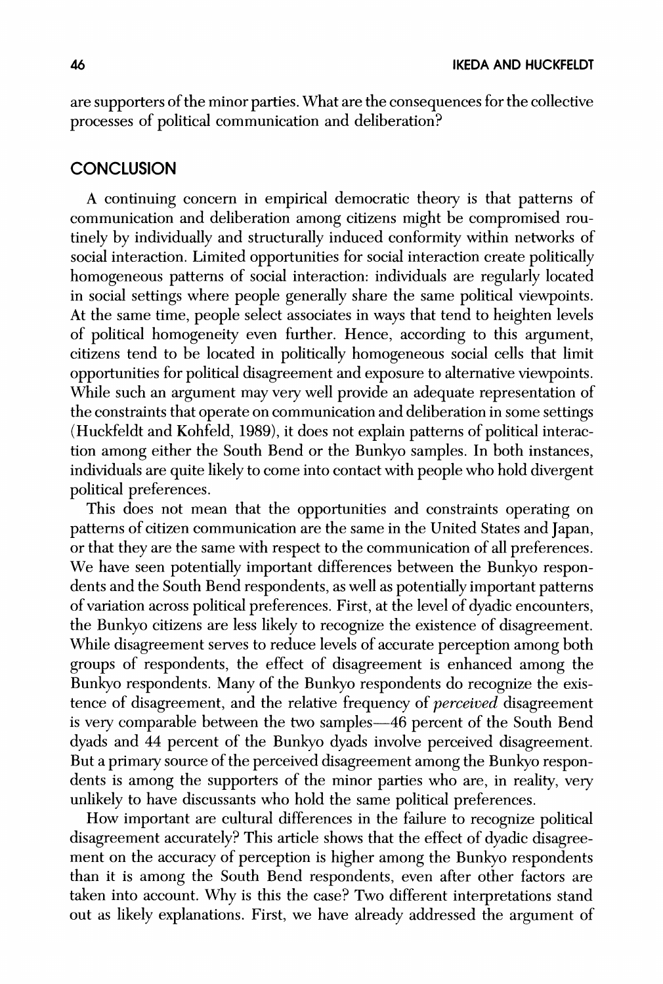**are supporters of the minor parties. What are the consequences for the collective processes of political communication and deliberation?** 

#### **CONCLUSION**

**A continuing concern in empirical democratic theory is that patterns of communication and deliberation among citizens might be compromised routinely by individually and structurally induced conformity within networks of social interaction. Limited opportunities for social interaction create politically homogeneous patterns of social interaction: individuals are regularly located in social settings where people generally share the same political viewpoints. At the same time, people select associates in ways that tend to heighten levels of political homogeneity even further. Hence, according to this argument, citizens tend to be located in politically homogeneous social cells that limit opportunities for political disagreement and exposure to alternative viewpoints. While such an argument may very well provide an adequate representation of the constraints that operate on communication and deliberation in some settings (Huckfeldt and Kohfeld, 1989), it does not explain patterns of political interaction among either the South Bend or the Bunkyo samples. In both instances, individuals are quite likely to come into contact with people who hold divergent political preferences.** 

**This does not mean that the opportunities and constraints operating on patterns of citizen communication are the same in the United States and Japan, or that they are the same with respect to the communication of all preferences.**  We have seen potentially important differences between the Bunkyo respon**dents and the South Bend respondents, as well as potentially important patterns of variation across political preferences. First, at the level of dyadic encounters, the Bunkyo citizens are less likely to recognize the existence of disagreement. While disagreement serves to reduce levels of accurate perception among both groups of respondents, the effect of disagreement is enhanced among the Bunkyo respondents. Many of the Bunkyo respondents do recognize the existence of disagreement, and the relative frequency of perceived disagreement is very comparable between the two samples-46 percent of the South Bend dyads and 44 percent of the Bunkyo dyads involve perceived disagreement. But a primary source of the perceived disagreement among the Bunkyo respondents is among the supporters of the minor parties who are, in reality, very unlikely to have discussants who hold the same political preferences.** 

**How important are cultural differences in the failure to recognize political disagreement accurately? This article shows that the effect of dyadic disagreement on the accuracy of perception is higher among the Bunkyo respondents than it is among the South Bend respondents, even after other factors are taken into account. Why is this the case? Two different interpretations stand out as likely explanations. First, we have already addressed the argument of**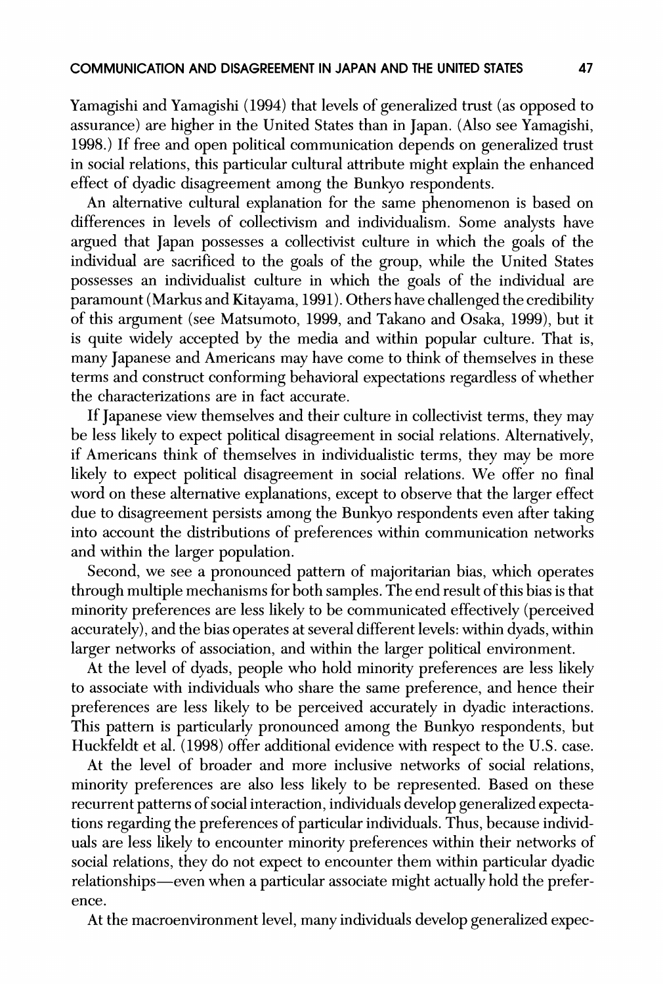**Yamagishi and Yamagishi (1994) that levels of generalized trust (as opposed to assurance) are higher in the United States than in Japan. (Also see Yamagishi, 1998.) If free and open political communication depends on generalized trust in social relations, this particular cultural attribute might explain the enhanced effect of dyadic disagreement among the Bunkyo respondents.** 

**An alternative cultural explanation for the same phenomenon is based on differences in levels of collectivism and individualism. Some analysts have argued that Japan possesses a collectivist culture in which the goals of the individual are sacrificed to the goals of the group, while the United States possesses an individualist culture in which the goals of the individual are paramount (Markus and Kitayama, 1991). Others have challenged the credibility of this argument (see Matsumoto, 1999, and Takano and Osaka, 1999), but it is quite widely accepted by the media and within popular culture. That is, many Japanese and Americans may have come to think of themselves in these terms and construct conforming behavioral expectations regardless of whether the characterizations are in fact accurate.** 

**If Japanese view themselves and their culture in collectivist terms, they may be less likely to expect political disagreement in social relations. Alternatively, if Americans think of themselves in individualistic terms, they may be more likely to expect political disagreement in social relations. We offer no final word on these alternative explanations, except to observe that the larger effect due to disagreement persists among the Bunkyo respondents even after taking into account the distributions of preferences within communication networks and within the larger population.** 

**Second, we see a pronounced pattern of majoritarian bias, which operates through multiple mechanisms for both samples. The end result of this bias is that minority preferences are less likely to be communicated effectively (perceived accurately), and the bias operates at several different levels: within dyads, within larger networks of association, and within the larger political environment.** 

**At the level of dyads, people who hold minority preferences are less likely to associate with individuals who share the same preference, and hence their preferences are less likely to be perceived accurately in dyadic interactions. This pattern is particularly pronounced among the Bunkyo respondents, but Huckfeldt et al. (1998) offer additional evidence with respect to the U.S. case.** 

**At the level of broader and more inclusive networks of social relations, minority preferences are also less likely to be represented. Based on these recurrent patterns of social interaction, individuals develop generalized expectations regarding the preferences of particular individuals. Thus, because individuals are less likely to encounter minority preferences within their networks of social relations, they do not expect to encounter them within particular dyadic**  relationships—even when a particular associate might actually hold the prefer**ence.** 

**At the macroenvironment level, many individuals develop generalized expec-**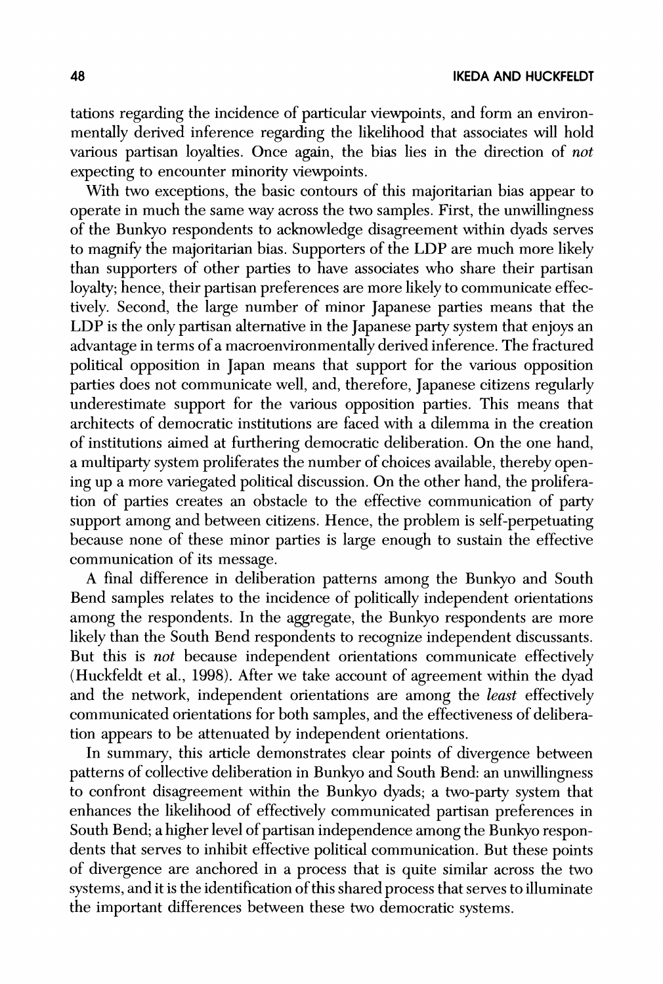**tations regarding the incidence of particular viewpoints, and form an environmentally derived inference regarding the likelihood that associates will hold**  various partisan loyalties. Once again, the bias lies in the direction of not **expecting to encounter minority viewpoints.** 

**With two exceptions, the basic contours of this majoritarian bias appear to operate in much the same way across the two samples. First, the unwillingness of the Bunkyo respondents to acknowledge disagreement within dyads serves to magnify the majoritarian bias. Supporters of the LDP are much more likely than supporters of other parties to have associates who share their partisan loyalty; hence, their partisan preferences are more likely to communicate effectively. Second, the large number of minor Japanese parties means that the LDP is the only partisan alternative in the Japanese party system that enjoys an advantage in terms of a macroenvironmentally derived inference. The fractured political opposition in Japan means that support for the various opposition**  parties does not communicate well, and, therefore, Japanese citizens regularly **underestimate support for the various opposition parties. This means that architects of democratic institutions are faced with a dilemma in the creation of institutions aimed at furthering democratic deliberation. On the one hand, a multiparty system proliferates the number of choices available, thereby opening up a more variegated political discussion. On the other hand, the proliferation of parties creates an obstacle to the effective communication of party support among and between citizens. Hence, the problem is self-perpetuating because none of these minor parties is large enough to sustain the effective communication of its message.** 

**A final difference in deliberation patterns among the Bunkyo and South Bend samples relates to the incidence of politically independent orientations among the respondents. In the aggregate, the Bunkyo respondents are more likely than the South Bend respondents to recognize independent discussants. But this is not because independent orientations communicate effectively (Huckfeldt et al., 1998). After we take account of agreement within the dyad and the network, independent orientations are among the least effectively communicated orientations for both samples, and the effectiveness of deliberation appears to be attenuated by independent orientations.** 

**In summary, this article demonstrates clear points of divergence between patterns of collective deliberation in Bunkyo and South Bend: an unwillingness to confront disagreement within the Bunkyo dyads; a two-party system that enhances the likelihood of effectively communicated partisan preferences in South Bend; a higher level of partisan independence among the Bunkyo respondents that serves to inhibit effective political communication. But these points of divergence are anchored in a process that is quite similar across the two systems, and it is the identification of this shared process that serves to illuminate the important differences between these two democratic systems.**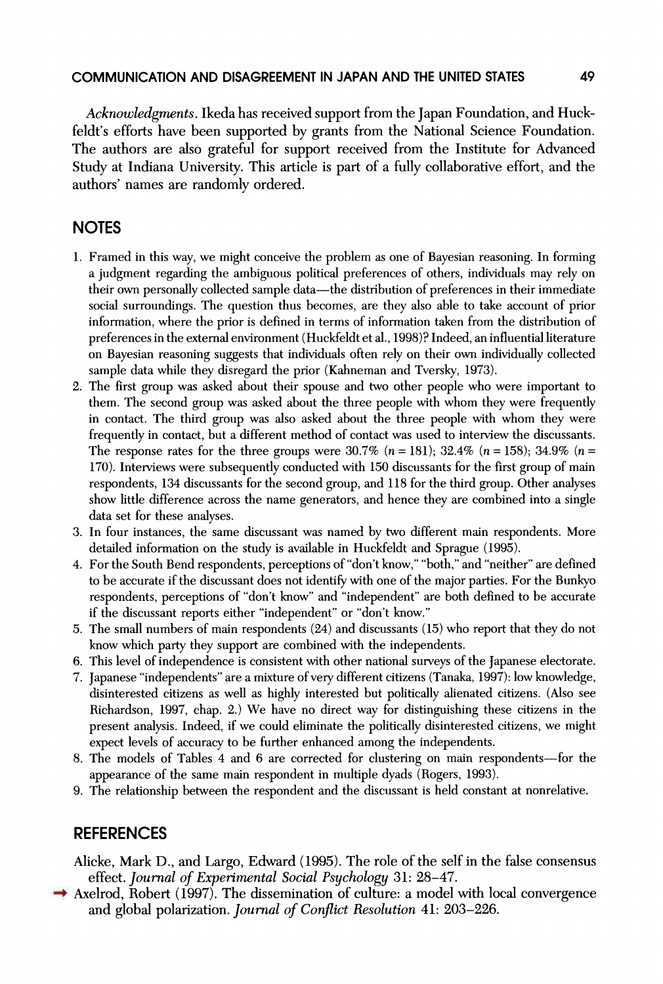#### **COMMUNICATION AND DISAGREEMENT IN JAPAN AND THE UNITED STATES**

**Acknowledgments. Ikeda has received support from the Japan Foundation, and Huckfeldt's efforts have been supported by grants from the National Science Foundation. The authors are also grateful for support received from the Institute for Advanced Study at Indiana University. This article is part of a fully collaborative effort, and the authors' names are randomly ordered.** 

## **NOTES**

- **1. Framed in this way, we might conceive the problem as one of Bayesian reasoning. In forming a judgment regarding the ambiguous political preferences of others, individuals may rely on their own personally collected sample data-the distribution of preferences in their immediate social surroundings. The question thus becomes, are they also able to take account of prior information, where the prior is defined in terms of information taken from the distribution of preferences in the external environment (Huckfeldt et al., 1998)? Indeed, an influential literature on Bayesian reasoning suggests that individuals often rely on their own individually collected sample data while they disregard the prior (Kahneman and Tversky, 1973).**
- **2. The first group was asked about their spouse and two other people who were important to them. The second group was asked about the three people with whom they were frequently in contact. The third group was also asked about the three people with whom they were frequently in contact, but a different method of contact was used to interview the discussants.**  The response rates for the three groups were  $30.7\%$  ( $n = 181$ );  $32.4\%$  ( $n = 158$ );  $34.9\%$  ( $n =$ **170). Interviews were subsequently conducted with 150 discussants for the first group of main respondents, 134 discussants for the second group, and 118 for the third group. Other analyses show little difference across the name generators, and hence they are combined into a single data set for these analyses.**
- **3. In four instances, the same discussant was named by two different main respondents. More detailed information on the study is available in Huckfeldt and Sprague (1995).**
- **4. For the South Bend respondents, perceptions of "don't know," "both," and "neither" are defined to be accurate if the discussant does not identify with one of the major parties. For the Bunkyo respondents, perceptions of "don't know" and "independent" are both defined to be accurate if the discussant reports either "independent" or "don't know."**
- **5. The small numbers of main respondents (24) and discussants (15) who report that they do not know which party they support are combined with the independents.**
- **6. This level of independence is consistent with other national surveys of the Japanese electorate.**
- **7. Japanese "independents" are a mixture of very different citizens (Tanaka, 1997): low knowledge, disinterested citizens as well as highly interested but politically alienated citizens. (Also see Richardson, 1997, chap. 2.) We have no direct way for distinguishing these citizens in the present analysis. Indeed, if we could eliminate the politically disinterested citizens, we might expect levels of accuracy to be further enhanced among the independents.**
- **8. The models of Tables 4 and 6 are corrected for clustering on main respondents-for the appearance of the same main respondent in multiple dyads (Rogers, 1993).**
- **9. The relationship between the respondent and the discussant is held constant at nonrelative.**

### **REFERENCES**

- **Alicke, Mark D., and Largo, Edward (1995). The role of the self in the false consensus effect. Journal of Experimental Social Psychology 31: 28-47.**
- **Axelrod, Robert (1997). The dissemination of culture: a model with local convergence and global polarization. Journal of Conflict Resolution 41: 203-226.**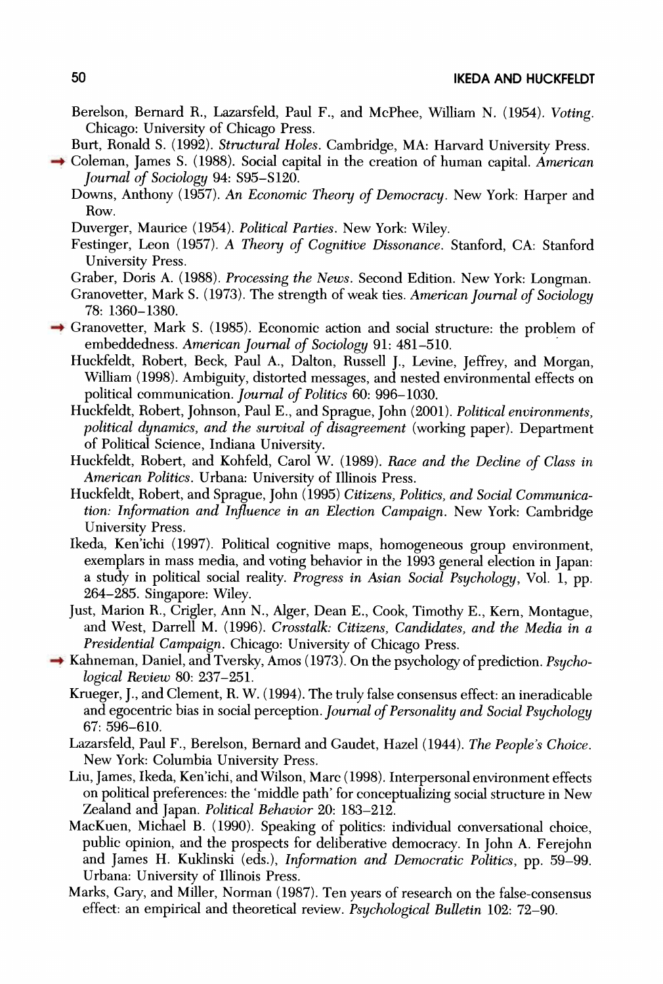- **Berelson, Bernard R., Lazarsfeld, Paul F., and McPhee, William N. (1954). Voting. Chicago: University of Chicago Press.**
- **Burt, Ronald S. (1992). Structural Holes. Cambridge, MA: Harvard University Press.**
- **Coleman, James S. (1988). Social capital in the creation of human capital. American Journal of Sociology 94: S95-S120.** 
	- **Downs, Anthony (1957). An Economic Theory of Democracy. New York: Harper and Row.**
	- **Duverger, Maurice (1954). Political Parties. New York: Wiley.**
	- **Festinger, Leon (1957). A Theory of Cognitive Dissonance. Stanford, CA: Stanford University Press.**
	- **Graber, Doris A. (1988). Processing the News. Second Edition. New York: Longman.**
	- **Granovetter, Mark S. (1973). The strength of weak ties. American Journal of Sociology 78: 1360-1380.**
- **Granovetter, Mark S. (1985). Economic action and social structure: the problem of embeddedness. American Journal of Sociology 91: 481-510.** 
	- **Huckfeldt, Robert, Beck, Paul A., Dalton, Russell J., Levine, Jeffrey, and Morgan, William (1998). Ambiguity, distorted messages, and nested environmental effects on political communication. Journal of Politics 60: 996-1030.**
	- **Huckfeldt, Robert, Johnson, Paul E., and Sprague, John (2001). Political environments, political dynamics, and the survival of disagreement (working paper). Department of Political Science, Indiana University.**
	- **Huckfeldt, Robert, and Kohfeld, Carol W. (1989). Race and the Decline of Class in American Politics. Urbana: University of Illinois Press.**
	- **Huckfeldt, Robert, and Sprague, John (1995) Citizens, Politics, and Social Communication: Information and Influence in an Election Campaign. New York: Cambridge University Press.**
	- **Ikeda, Ken'ichi (1997). Political cognitive maps, homogeneous group environment, exemplars in mass media, and voting behavior in the 1993 general election in Japan: a study in political social reality. Progress in Asian Social Psychology, Vol. 1, pp. 264-285. Singapore: Wiley.**
	- **Just, Marion R., Crigler, Ann N., Alger, Dean E., Cook, Timothy E., Kern, Montague, and West, Darrell M. (1996). Crosstalk: Citizens, Candidates, and the Media in a Presidential Campaign. Chicago: University of Chicago Press.**
- **→ Kahneman, Daniel, and Tversky, Amos (1973). On the psychology of prediction.** *Psycho***logical Review 80: 237-251.** 
	- **Krueger, J., and Clement, R. W. (1994). The truly false consensus effect: an ineradicable and egocentric bias in social perception. Journal of Personality and Social Psychology 67: 596-610.**
	- **Lazarsfeld, Paul F., Berelson, Bernard and Gaudet, Hazel (1944). The People's Choice. New York: Columbia University Press.**
	- **Liu, James, Ikeda, Ken'ichi, and Wilson, Marc (1998). Interpersonal environment effects on political preferences: the 'middle path' for conceptualizing social structure in New Zealand and Japan. Political Behavior 20: 183-212.**
	- **MacKuen, Michael B. (1990). Speaking of politics: individual conversational choice, public opinion, and the prospects for deliberative democracy. In John A. Ferejohn and James H. Kuklinski (eds.), Information and Democratic Politics, pp. 59-99. Urbana: University of Illinois Press.**
	- **Marks, Gary, and Miller, Norman (1987). Ten years of research on the false-consensus effect: an empirical and theoretical review. Psychological Bulletin 102: 72-90.**